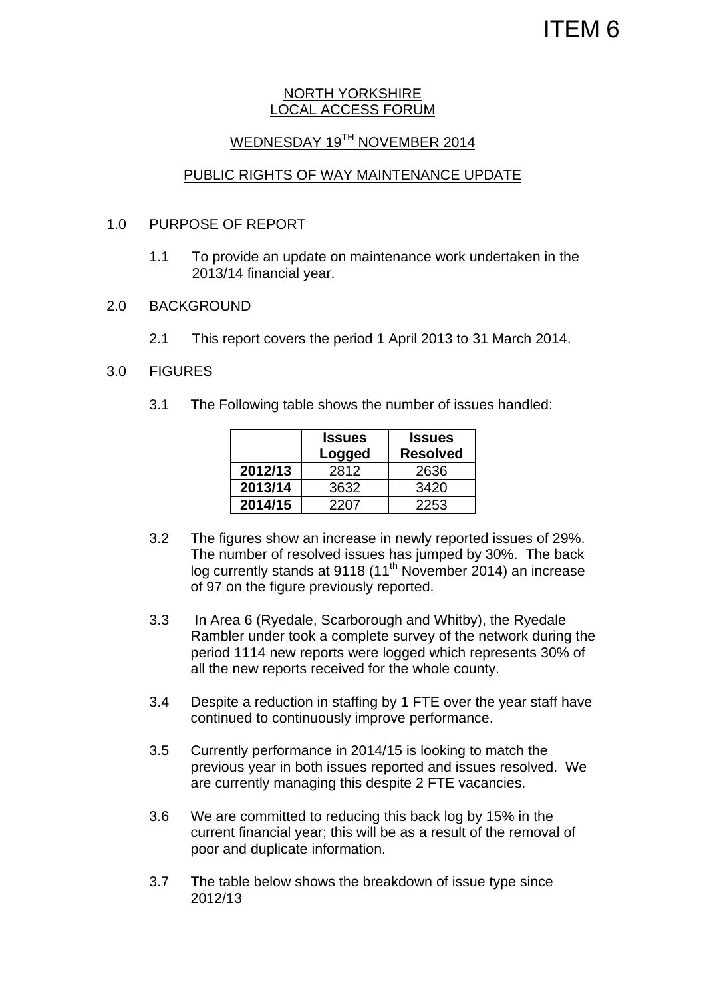# ITEM 6

#### NORTH YORKSHIRE LOCAL ACCESS FORUM

### WEDNESDAY 19TH NOVEMBER 2014

### PUBLIC RIGHTS OF WAY MAINTENANCE UPDATE

#### 1.0 PURPOSE OF REPORT

- 1.1 To provide an update on maintenance work undertaken in the 2013/14 financial year.
- 2.0 BACKGROUND
	- 2.1 This report covers the period 1 April 2013 to 31 March 2014.

#### 3.0 FIGURES

3.1 The Following table shows the number of issues handled:

|         | <b>Issues</b><br>Logged | <b>Issues</b><br><b>Resolved</b> |
|---------|-------------------------|----------------------------------|
| 2012/13 | 2812                    | 2636                             |
| 2013/14 | 3632                    | 3420                             |
| 2014/15 | 2207                    | 2253                             |

- 3.2 The figures show an increase in newly reported issues of 29%. The number of resolved issues has jumped by 30%. The back log currently stands at 9118  $(11<sup>th</sup>$  November 2014) an increase of 97 on the figure previously reported.
- 3.3 In Area 6 (Ryedale, Scarborough and Whitby), the Ryedale Rambler under took a complete survey of the network during the period 1114 new reports were logged which represents 30% of all the new reports received for the whole county.
- 3.4 Despite a reduction in staffing by 1 FTE over the year staff have continued to continuously improve performance.
- 3.5 Currently performance in 2014/15 is looking to match the previous year in both issues reported and issues resolved. We are currently managing this despite 2 FTE vacancies.
- 3.6 We are committed to reducing this back log by 15% in the current financial year; this will be as a result of the removal of poor and duplicate information.
- 3.7 The table below shows the breakdown of issue type since 2012/13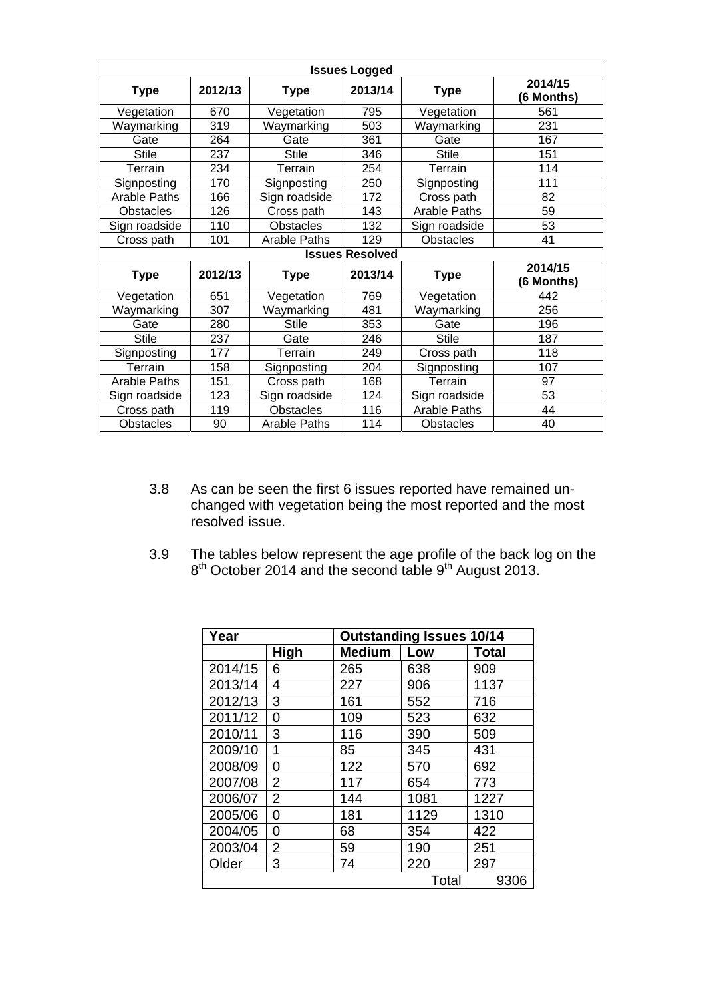|                     |         |                     | <b>Issues Logged</b>   |                     |                       |
|---------------------|---------|---------------------|------------------------|---------------------|-----------------------|
| <b>Type</b>         | 2012/13 | <b>Type</b>         | 2013/14                | <b>Type</b>         | 2014/15<br>(6 Months) |
| Vegetation          | 670     | Vegetation          | 795                    | Vegetation          | 561                   |
| Waymarking          | 319     | Waymarking          | 503                    | Waymarking          | 231                   |
| Gate                | 264     | Gate                | 361                    | Gate                | 167                   |
| <b>Stile</b>        | 237     | <b>Stile</b>        | 346                    | <b>Stile</b>        | 151                   |
| Terrain             | 234     | Terrain             | 254                    | Terrain             | 114                   |
| Signposting         | 170     | Signposting         | 250                    | Signposting         | 111                   |
| <b>Arable Paths</b> | 166     | Sign roadside       | 172                    | Cross path          | 82                    |
| <b>Obstacles</b>    | 126     | Cross path          | 143                    | <b>Arable Paths</b> | 59                    |
| Sign roadside       | 110     | <b>Obstacles</b>    | 132                    | Sign roadside       | 53                    |
| Cross path          | 101     | <b>Arable Paths</b> | 129                    | <b>Obstacles</b>    | 41                    |
|                     |         |                     | <b>Issues Resolved</b> |                     |                       |
| <b>Type</b>         | 2012/13 | <b>Type</b>         | 2013/14                | <b>Type</b>         | 2014/15<br>(6 Months) |
| Vegetation          | 651     | Vegetation          | 769                    | Vegetation          | 442                   |
| Waymarking          | 307     | Waymarking          | 481                    | Waymarking          | 256                   |
| Gate                | 280     | <b>Stile</b>        | 353                    | Gate                | 196                   |
| <b>Stile</b>        | 237     | Gate                | 246                    | <b>Stile</b>        | 187                   |
| Signposting         | 177     | Terrain             | 249                    | Cross path          | 118                   |
| Terrain             | 158     | Signposting         | 204                    | Signposting         | 107                   |
| <b>Arable Paths</b> | 151     | Cross path          | 168                    | Terrain             | 97                    |
|                     |         |                     |                        |                     |                       |
| Sign roadside       | 123     | Sign roadside       | 124                    | Sign roadside       | 53                    |
| Cross path          | 119     | <b>Obstacles</b>    | 116                    | <b>Arable Paths</b> | 44                    |

- 3.8 As can be seen the first 6 issues reported have remained unchanged with vegetation being the most reported and the most resolved issue.
- 3.9 The tables below represent the age profile of the back log on the  $8<sup>th</sup>$  October 2014 and the second table  $9<sup>th</sup>$  August 2013.

| Year    |                | <b>Outstanding Issues 10/14</b> |       |              |  |  |
|---------|----------------|---------------------------------|-------|--------------|--|--|
|         | <b>High</b>    | <b>Medium</b>                   | Low   | <b>Total</b> |  |  |
| 2014/15 | 6              | 265                             | 638   | 909          |  |  |
| 2013/14 | 4              | 227                             | 906   | 1137         |  |  |
| 2012/13 | 3              | 161                             | 552   | 716          |  |  |
| 2011/12 | 0              | 109                             | 523   | 632          |  |  |
| 2010/11 | 3              | 116                             | 390   | 509          |  |  |
| 2009/10 | 1              | 85                              | 345   | 431          |  |  |
| 2008/09 | 0              | 122                             | 570   | 692          |  |  |
| 2007/08 | $\overline{2}$ | 117                             | 654   | 773          |  |  |
| 2006/07 | 2              | 144                             | 1081  | 1227         |  |  |
| 2005/06 | 0              | 181                             | 1129  | 1310         |  |  |
| 2004/05 | 0              | 68                              | 354   | 422          |  |  |
| 2003/04 | 2              | 59                              | 190   | 251          |  |  |
| Older   | 3              | 74                              | 220   | 297          |  |  |
|         |                |                                 | Total | 9306         |  |  |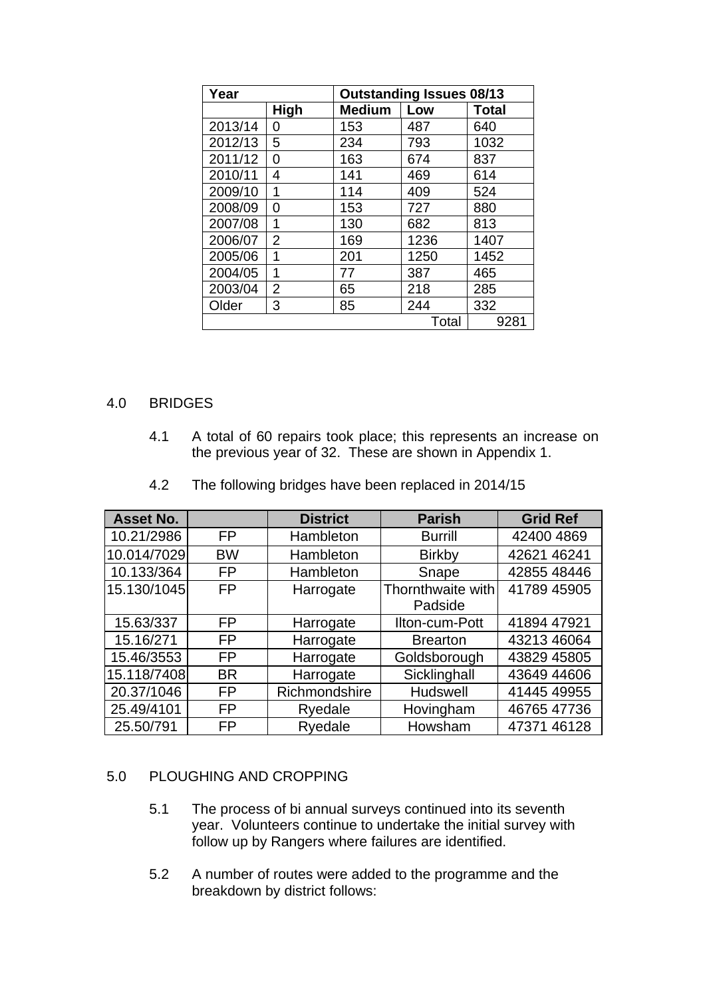| Year    |      | <b>Outstanding Issues 08/13</b> |       |              |  |  |
|---------|------|---------------------------------|-------|--------------|--|--|
|         | High | <b>Medium</b>                   | Low   | <b>Total</b> |  |  |
| 2013/14 | O    | 153                             | 487   | 640          |  |  |
| 2012/13 | 5    | 234                             | 793   | 1032         |  |  |
| 2011/12 | 0    | 163                             | 674   | 837          |  |  |
| 2010/11 | 4    | 141                             | 469   | 614          |  |  |
| 2009/10 | 1    | 114                             | 409   | 524          |  |  |
| 2008/09 | 0    | 153                             | 727   | 880          |  |  |
| 2007/08 | 1    | 130                             | 682   | 813          |  |  |
| 2006/07 | 2    | 169                             | 1236  | 1407         |  |  |
| 2005/06 | 1    | 201                             | 1250  | 1452         |  |  |
| 2004/05 | 1    | 77                              | 387   | 465          |  |  |
| 2003/04 | 2    | 65                              | 218   | 285          |  |  |
| Older   | 3    | 85                              | 244   | 332          |  |  |
|         |      |                                 | Total | 9281         |  |  |

### 4.0 BRIDGES

4.1 A total of 60 repairs took place; this represents an increase on the previous year of 32. These are shown in Appendix 1.

| Asset No.   |           | <b>District</b> | <b>Parish</b>     | <b>Grid Ref</b> |
|-------------|-----------|-----------------|-------------------|-----------------|
| 10.21/2986  | FP        | Hambleton       | <b>Burrill</b>    | 42400 4869      |
| 10.014/7029 | <b>BW</b> | Hambleton       | <b>Birkby</b>     | 42621 46241     |
| 10.133/364  | <b>FP</b> | Hambleton       | Snape             | 42855 48446     |
| 15.130/1045 | <b>FP</b> | Harrogate       | Thornthwaite with | 41789 45905     |
|             |           |                 | Padside           |                 |
| 15.63/337   | FP        | Harrogate       | Ilton-cum-Pott    | 41894 47921     |
| 15.16/271   | FP        | Harrogate       | <b>Brearton</b>   | 43213 46064     |
| 15.46/3553  | <b>FP</b> | Harrogate       | Goldsborough      | 43829 45805     |
| 15.118/7408 | <b>BR</b> | Harrogate       | Sicklinghall      | 43649 44606     |
| 20.37/1046  | FP        | Richmondshire   | Hudswell          | 41445 49955     |
| 25.49/4101  | FP        | Ryedale         | Hovingham         | 46765 47736     |
| 25.50/791   | FP        | Ryedale         | Howsham           | 47371 46128     |

4.2 The following bridges have been replaced in 2014/15

#### 5.0 PLOUGHING AND CROPPING

- 5.1 The process of bi annual surveys continued into its seventh year. Volunteers continue to undertake the initial survey with follow up by Rangers where failures are identified.
- 5.2 A number of routes were added to the programme and the breakdown by district follows: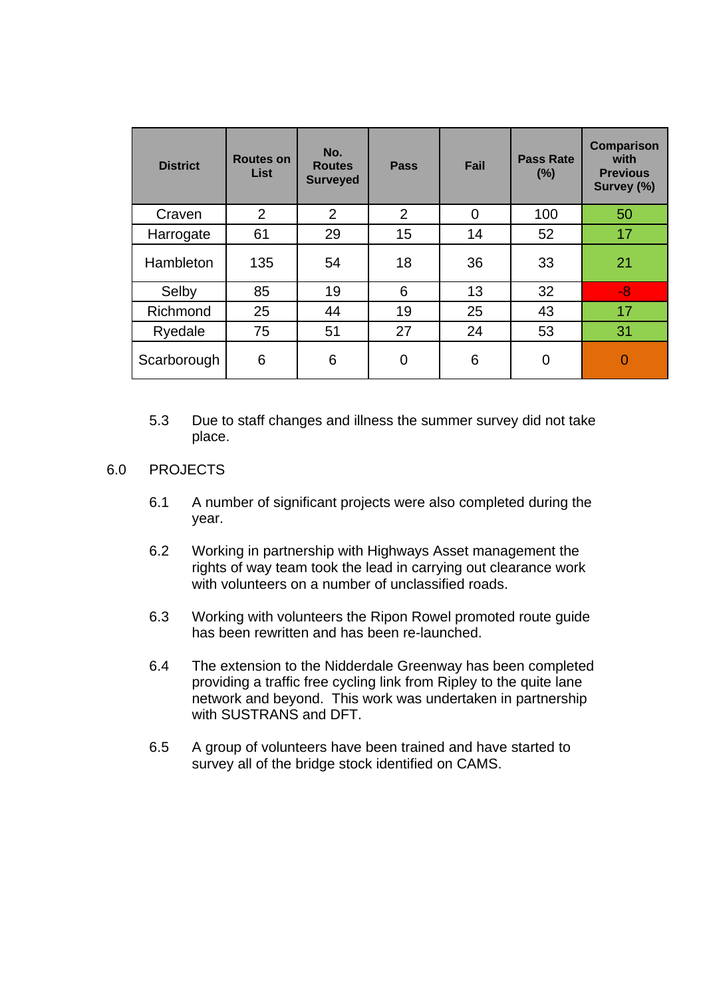| <b>District</b> | <b>Routes on</b><br>List | No.<br><b>Routes</b><br><b>Surveyed</b> | <b>Pass</b> | Fail     | <b>Pass Rate</b><br>(%) | <b>Comparison</b><br>with<br><b>Previous</b><br>Survey (%) |
|-----------------|--------------------------|-----------------------------------------|-------------|----------|-------------------------|------------------------------------------------------------|
| Craven          | 2                        | 2                                       | 2           | $\Omega$ | 100                     | 50                                                         |
| Harrogate       | 61                       | 29                                      | 15          | 14       | 52                      | 17                                                         |
| Hambleton       | 135                      | 54                                      | 18          | 36       | 33                      | 21                                                         |
| Selby           | 85                       | 19                                      | 6           | 13       | 32                      | $-8$                                                       |
| Richmond        | 25                       | 44                                      | 19          | 25       | 43                      | 17                                                         |
| Ryedale         | 75                       | 51                                      | 27          | 24       | 53                      | 31                                                         |
| Scarborough     | 6                        | 6                                       | 0           | 6        | 0                       | $\overline{0}$                                             |

5.3 Due to staff changes and illness the summer survey did not take place.

#### 6.0 PROJECTS

- 6.1 A number of significant projects were also completed during the year.
- 6.2 Working in partnership with Highways Asset management the rights of way team took the lead in carrying out clearance work with volunteers on a number of unclassified roads.
- 6.3 Working with volunteers the Ripon Rowel promoted route guide has been rewritten and has been re-launched.
- 6.4 The extension to the Nidderdale Greenway has been completed providing a traffic free cycling link from Ripley to the quite lane network and beyond. This work was undertaken in partnership with SUSTRANS and DFT.
- 6.5 A group of volunteers have been trained and have started to survey all of the bridge stock identified on CAMS.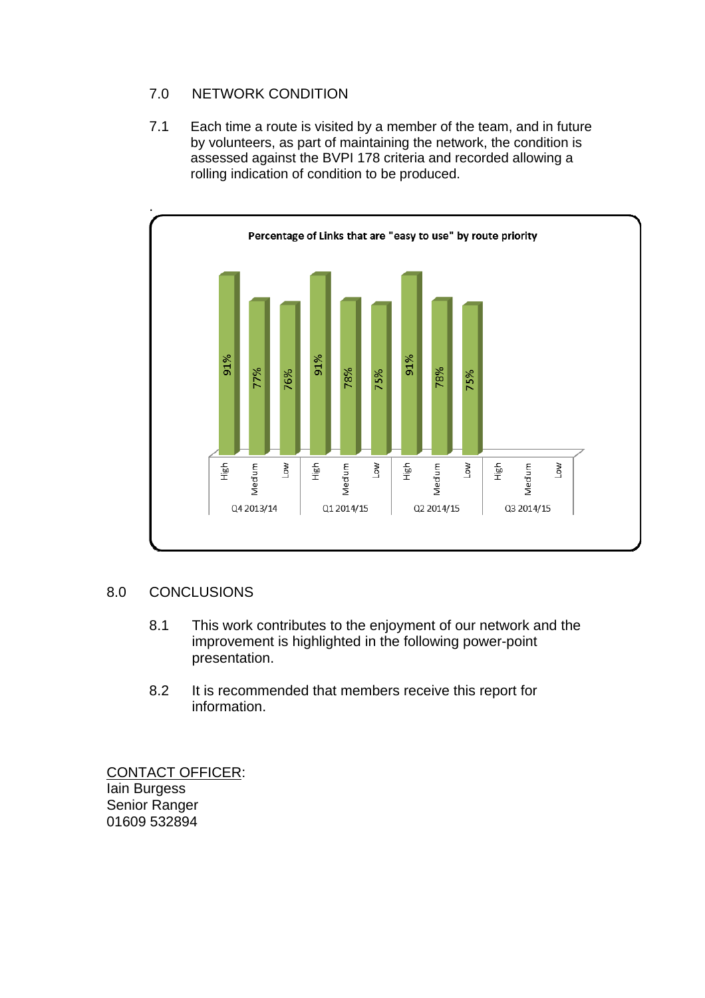### 7.0 NETWORK CONDITION

7.1 Each time a route is visited by a member of the team, and in future by volunteers, as part of maintaining the network, the condition is assessed against the BVPI 178 criteria and recorded allowing a rolling indication of condition to be produced.



### 8.0 CONCLUSIONS

- 8.1 This work contributes to the enjoyment of our network and the improvement is highlighted in the following power-point presentation.
- 8.2 It is recommended that members receive this report for information.

CONTACT OFFICER: Iain Burgess Senior Ranger 01609 532894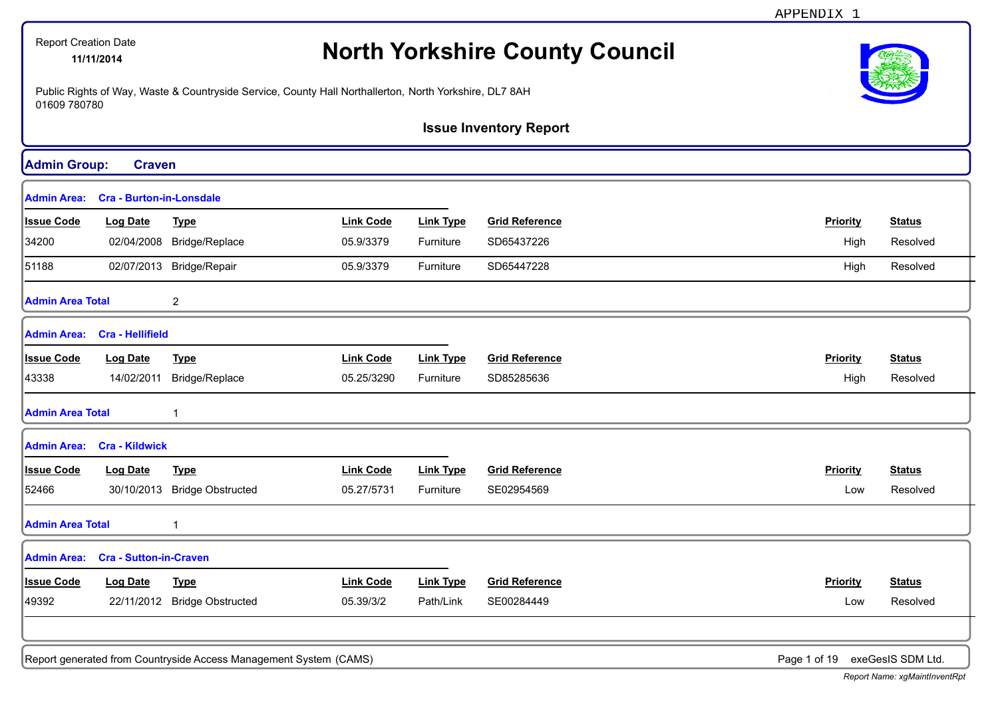|                         | <b>Report Creation Date</b><br>11/11/2014 |                                                                                                        |                  |                  | <b>North Yorkshire County Council</b> |                 |                   |
|-------------------------|-------------------------------------------|--------------------------------------------------------------------------------------------------------|------------------|------------------|---------------------------------------|-----------------|-------------------|
| 01609 780780            |                                           | Public Rights of Way, Waste & Countryside Service, County Hall Northallerton, North Yorkshire, DL7 8AH |                  |                  |                                       |                 |                   |
|                         |                                           |                                                                                                        |                  |                  | <b>Issue Inventory Report</b>         |                 |                   |
| <b>Admin Group:</b>     | <b>Craven</b>                             |                                                                                                        |                  |                  |                                       |                 |                   |
| <b>Admin Area:</b>      | <b>Cra - Burton-in-Lonsdale</b>           |                                                                                                        |                  |                  |                                       |                 |                   |
| <b>Issue Code</b>       | <b>Log Date</b>                           | <b>Type</b>                                                                                            | <b>Link Code</b> | <b>Link Type</b> | <b>Grid Reference</b>                 | <b>Priority</b> | <b>Status</b>     |
| 34200                   |                                           | 02/04/2008 Bridge/Replace                                                                              | 05.9/3379        | Furniture        | SD65437226                            | High            | Resolved          |
| 51188                   |                                           | 02/07/2013 Bridge/Repair                                                                               | 05.9/3379        | Furniture        | SD65447228                            | High            | Resolved          |
| <b>Admin Area Total</b> |                                           | $\overline{c}$                                                                                         |                  |                  |                                       |                 |                   |
| <b>Admin Area:</b>      | <b>Cra - Hellifield</b>                   |                                                                                                        |                  |                  |                                       |                 |                   |
| <b>Issue Code</b>       | <b>Log Date</b>                           | <b>Type</b>                                                                                            | <b>Link Code</b> | <b>Link Type</b> | <b>Grid Reference</b>                 | <b>Priority</b> | <b>Status</b>     |
| 43338                   | 14/02/2011                                | Bridge/Replace                                                                                         | 05.25/3290       | Furniture        | SD85285636                            | High            | Resolved          |
| <b>Admin Area Total</b> |                                           |                                                                                                        |                  |                  |                                       |                 |                   |
|                         | <b>Admin Area: Cra - Kildwick</b>         |                                                                                                        |                  |                  |                                       |                 |                   |
| <b>Issue Code</b>       | <b>Log Date</b>                           | <b>Type</b>                                                                                            | <b>Link Code</b> | <b>Link Type</b> | <b>Grid Reference</b>                 | <b>Priority</b> | <b>Status</b>     |
| 52466                   |                                           | 30/10/2013 Bridge Obstructed                                                                           | 05.27/5731       | Furniture        | SE02954569                            | Low             | Resolved          |
| <b>Admin Area Total</b> |                                           |                                                                                                        |                  |                  |                                       |                 |                   |
|                         | Admin Area: Cra - Sutton-in-Craven        |                                                                                                        |                  |                  |                                       |                 |                   |
| <b>Issue Code</b>       | <b>Log Date</b>                           | <b>Type</b>                                                                                            | <b>Link Code</b> | <b>Link Type</b> | <b>Grid Reference</b>                 | Priority        | <b>Status</b>     |
| 49392                   |                                           | 22/11/2012 Bridge Obstructed                                                                           | 05.39/3/2        | Path/Link        | SE00284449                            | Low             | Resolved          |
|                         |                                           |                                                                                                        |                  |                  |                                       |                 |                   |
|                         |                                           | Report generated from Countryside Access Management System (CAMS)                                      |                  |                  |                                       | Page 1 of 19    | exeGesIS SDM Ltd. |

APPENDIX 1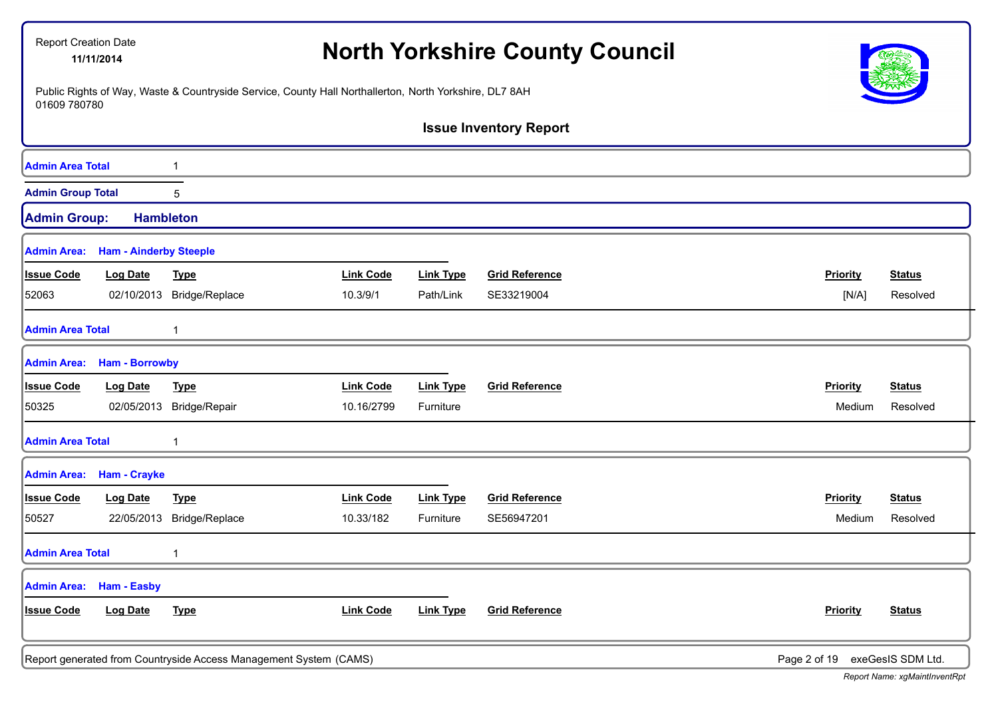| <b>Report Creation Date</b> | 11/11/2014                    |                                                                                                        |                  |                  | <b>North Yorkshire County Council</b> |                 |                   |
|-----------------------------|-------------------------------|--------------------------------------------------------------------------------------------------------|------------------|------------------|---------------------------------------|-----------------|-------------------|
| 01609 780780                |                               | Public Rights of Way, Waste & Countryside Service, County Hall Northallerton, North Yorkshire, DL7 8AH |                  |                  |                                       |                 |                   |
|                             |                               |                                                                                                        |                  |                  | <b>Issue Inventory Report</b>         |                 |                   |
| <b>Admin Area Total</b>     |                               |                                                                                                        |                  |                  |                                       |                 |                   |
| <b>Admin Group Total</b>    |                               | 5                                                                                                      |                  |                  |                                       |                 |                   |
| <b>Admin Group:</b>         | <b>Hambleton</b>              |                                                                                                        |                  |                  |                                       |                 |                   |
| <b>Admin Area:</b>          | <b>Ham - Ainderby Steeple</b> |                                                                                                        |                  |                  |                                       |                 |                   |
| <b>Issue Code</b>           | <b>Log Date</b>               | <b>Type</b>                                                                                            | <b>Link Code</b> | <b>Link Type</b> | <b>Grid Reference</b>                 | <b>Priority</b> | <b>Status</b>     |
| 52063                       | 02/10/2013                    | Bridge/Replace                                                                                         | 10.3/9/1         | Path/Link        | SE33219004                            | [N/A]           | Resolved          |
| <b>Admin Area Total</b>     |                               | 1                                                                                                      |                  |                  |                                       |                 |                   |
| <b>Admin Area:</b>          | <b>Ham - Borrowby</b>         |                                                                                                        |                  |                  |                                       |                 |                   |
| <b>Issue Code</b>           | <b>Log Date</b>               | <b>Type</b>                                                                                            | <b>Link Code</b> | <b>Link Type</b> | <b>Grid Reference</b>                 | Priority        | <b>Status</b>     |
| 50325                       | 02/05/2013                    | Bridge/Repair                                                                                          | 10.16/2799       | Furniture        |                                       | Medium          | Resolved          |
| <b>Admin Area Total</b>     |                               |                                                                                                        |                  |                  |                                       |                 |                   |
| <b>Admin Area:</b>          | <b>Ham - Crayke</b>           |                                                                                                        |                  |                  |                                       |                 |                   |
| <b>Issue Code</b>           | Log Date                      | <b>Type</b>                                                                                            | <b>Link Code</b> | <b>Link Type</b> | <b>Grid Reference</b>                 | Priority        | <b>Status</b>     |
| 50527                       | 22/05/2013                    | Bridge/Replace                                                                                         | 10.33/182        | Furniture        | SE56947201                            | Medium          | Resolved          |
| <b>Admin Area Total</b>     |                               | 1                                                                                                      |                  |                  |                                       |                 |                   |
| <b>Admin Area:</b>          | Ham - Easby                   |                                                                                                        |                  |                  |                                       |                 |                   |
| <b>Issue Code</b>           | Log Date                      | <b>Type</b>                                                                                            | <b>Link Code</b> | <b>Link Type</b> | <b>Grid Reference</b>                 | <b>Priority</b> | <b>Status</b>     |
|                             |                               | Report generated from Countryside Access Management System (CAMS)                                      |                  |                  |                                       | Page 2 of 19    | exeGesIS SDM Ltd. |

ר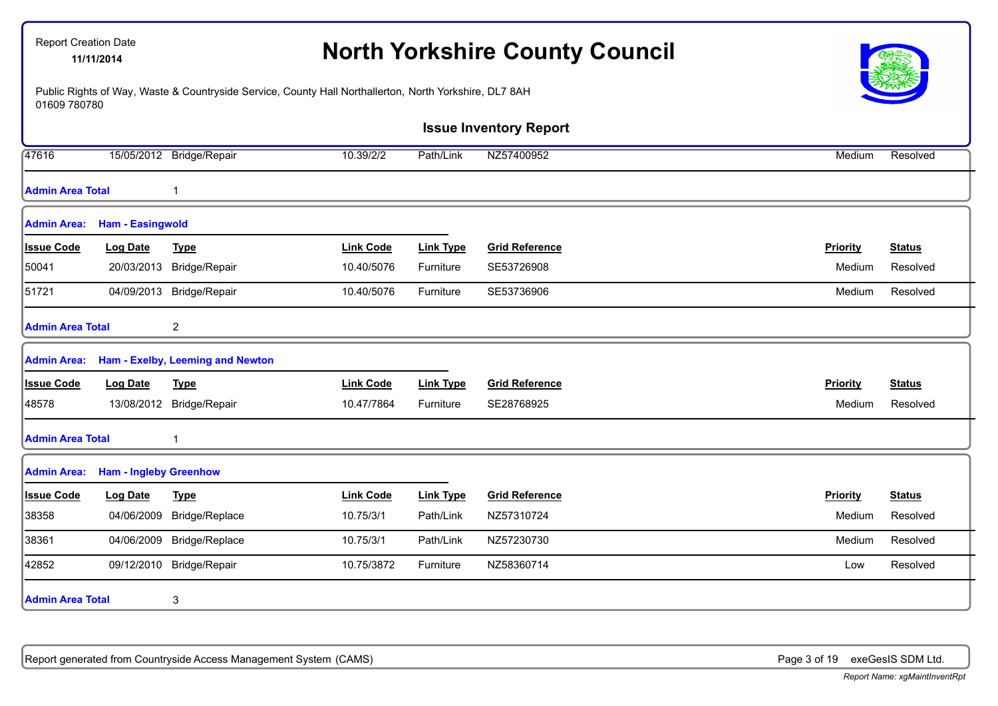| <b>Report Creation Date</b> | 11/11/2014                    |                                                                                                        |                  |                  | <b>North Yorkshire County Council</b> |          |               |
|-----------------------------|-------------------------------|--------------------------------------------------------------------------------------------------------|------------------|------------------|---------------------------------------|----------|---------------|
| 01609 780780                |                               | Public Rights of Way, Waste & Countryside Service, County Hall Northallerton, North Yorkshire, DL7 8AH |                  |                  |                                       |          |               |
|                             |                               |                                                                                                        |                  |                  | <b>Issue Inventory Report</b>         |          |               |
| 47616                       |                               | 15/05/2012 Bridge/Repair                                                                               | 10.39/2/2        | Path/Link        | NZ57400952                            | Medium   | Resolved      |
| <b>Admin Area Total</b>     |                               | $\mathbf 1$                                                                                            |                  |                  |                                       |          |               |
| <b>Admin Area:</b>          | <b>Ham - Easingwold</b>       |                                                                                                        |                  |                  |                                       |          |               |
| <b>Issue Code</b>           | <b>Log Date</b>               | <b>Type</b>                                                                                            | <b>Link Code</b> | <b>Link Type</b> | <b>Grid Reference</b>                 | Priority | <b>Status</b> |
| 50041                       | 20/03/2013                    | Bridge/Repair                                                                                          | 10.40/5076       | Furniture        | SE53726908                            | Medium   | Resolved      |
| 51721                       |                               | 04/09/2013 Bridge/Repair                                                                               | 10.40/5076       | Furniture        | SE53736906                            | Medium   | Resolved      |
| <b>Admin Area Total</b>     |                               | $\overline{\mathbf{c}}$                                                                                |                  |                  |                                       |          |               |
|                             |                               | Admin Area: Ham - Exelby, Leeming and Newton                                                           |                  |                  |                                       |          |               |
| <b>Issue Code</b>           | <b>Log Date</b>               | <b>Type</b>                                                                                            | <b>Link Code</b> | <b>Link Type</b> | <b>Grid Reference</b>                 | Priority | <b>Status</b> |
| 48578                       |                               | 13/08/2012 Bridge/Repair                                                                               | 10.47/7864       | Furniture        | SE28768925                            | Medium   | Resolved      |
| <b>Admin Area Total</b>     |                               | $\mathbf{1}$                                                                                           |                  |                  |                                       |          |               |
| <b>Admin Area:</b>          | <b>Ham - Ingleby Greenhow</b> |                                                                                                        |                  |                  |                                       |          |               |
| <b>Issue Code</b>           | <b>Log Date</b>               | <b>Type</b>                                                                                            | <b>Link Code</b> | <b>Link Type</b> | <b>Grid Reference</b>                 | Priority | <b>Status</b> |
| 38358                       | 04/06/2009                    | Bridge/Replace                                                                                         | 10.75/3/1        | Path/Link        | NZ57310724                            | Medium   | Resolved      |
| 38361                       | 04/06/2009                    | Bridge/Replace                                                                                         | 10.75/3/1        | Path/Link        | NZ57230730                            | Medium   | Resolved      |
| 42852                       |                               | 09/12/2010 Bridge/Repair                                                                               | 10.75/3872       | Furniture        | NZ58360714                            | Low      | Resolved      |
| <b>Admin Area Total</b>     |                               | 3                                                                                                      |                  |                  |                                       |          |               |

Report generated from Countryside Access Management System (CAMS) **Page 3 of 19** exeGesIS SDM Ltd.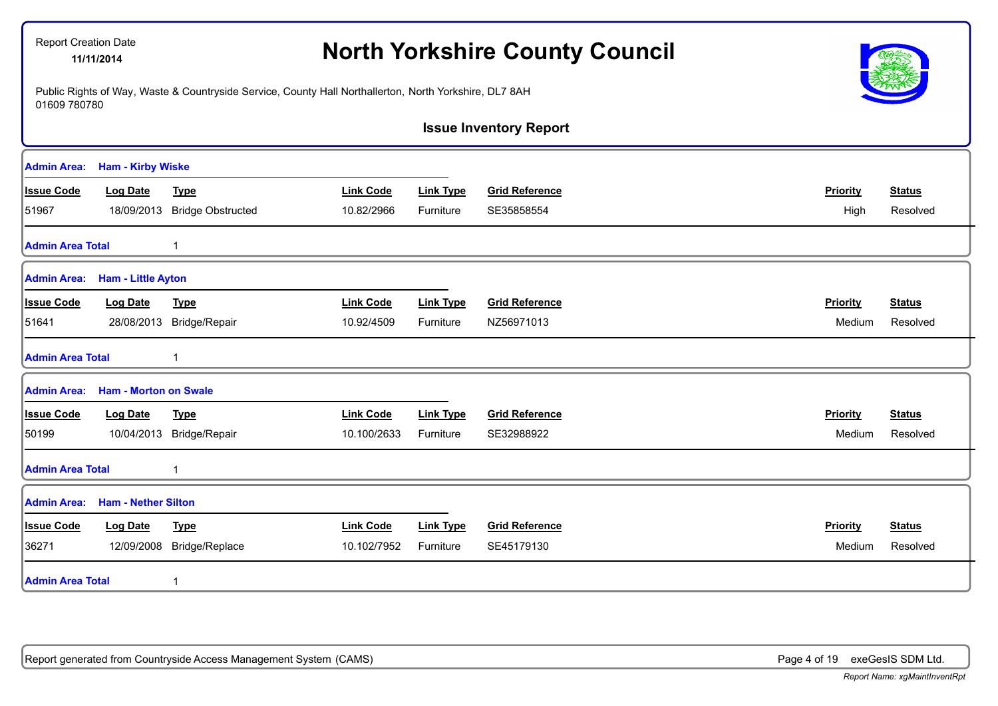| <b>Report Creation Date</b><br>11/11/2014 |                |                                                                                                                                                                                                                  |                  |                       |                                                                                                                                                                                  |               |
|-------------------------------------------|----------------|------------------------------------------------------------------------------------------------------------------------------------------------------------------------------------------------------------------|------------------|-----------------------|----------------------------------------------------------------------------------------------------------------------------------------------------------------------------------|---------------|
| 01609 780780                              |                |                                                                                                                                                                                                                  |                  |                       |                                                                                                                                                                                  |               |
|                                           |                |                                                                                                                                                                                                                  |                  |                       |                                                                                                                                                                                  |               |
|                                           |                |                                                                                                                                                                                                                  |                  |                       |                                                                                                                                                                                  |               |
| <b>Log Date</b>                           | <b>Type</b>    | <b>Link Code</b>                                                                                                                                                                                                 | <b>Link Type</b> | <b>Grid Reference</b> | <b>Priority</b>                                                                                                                                                                  | <b>Status</b> |
|                                           |                | 10.82/2966                                                                                                                                                                                                       | Furniture        | SE35858554            | High                                                                                                                                                                             | Resolved      |
| <b>Admin Area Total</b>                   | 1              |                                                                                                                                                                                                                  |                  |                       |                                                                                                                                                                                  |               |
|                                           |                |                                                                                                                                                                                                                  |                  |                       |                                                                                                                                                                                  |               |
| <b>Log Date</b>                           | <b>Type</b>    | <b>Link Code</b>                                                                                                                                                                                                 | <b>Link Type</b> | <b>Grid Reference</b> | Priority                                                                                                                                                                         | <b>Status</b> |
|                                           |                | 10.92/4509                                                                                                                                                                                                       | Furniture        | NZ56971013            | Medium                                                                                                                                                                           | Resolved      |
| <b>Admin Area Total</b>                   |                |                                                                                                                                                                                                                  |                  |                       |                                                                                                                                                                                  |               |
|                                           |                |                                                                                                                                                                                                                  |                  |                       |                                                                                                                                                                                  |               |
| <b>Log Date</b>                           | <b>Type</b>    | <b>Link Code</b>                                                                                                                                                                                                 | <b>Link Type</b> | <b>Grid Reference</b> | Priority                                                                                                                                                                         | <b>Status</b> |
|                                           |                | 10.100/2633                                                                                                                                                                                                      | Furniture        | SE32988922            | Medium                                                                                                                                                                           | Resolved      |
| <b>Admin Area Total</b>                   | 1              |                                                                                                                                                                                                                  |                  |                       |                                                                                                                                                                                  |               |
|                                           |                |                                                                                                                                                                                                                  |                  |                       |                                                                                                                                                                                  |               |
| <b>Log Date</b>                           | <b>Type</b>    | <b>Link Code</b>                                                                                                                                                                                                 | <b>Link Type</b> | <b>Grid Reference</b> | Priority                                                                                                                                                                         | <b>Status</b> |
| 12/09/2008                                | Bridge/Replace | 10.102/7952                                                                                                                                                                                                      | Furniture        | SE45179130            | Medium                                                                                                                                                                           | Resolved      |
| <b>Admin Area Total</b>                   | 1              |                                                                                                                                                                                                                  |                  |                       |                                                                                                                                                                                  |               |
|                                           |                | <b>Ham - Kirby Wiske</b><br>18/09/2013 Bridge Obstructed<br><b>Ham - Little Ayton</b><br>28/08/2013 Bridge/Repair<br><b>Ham - Morton on Swale</b><br>10/04/2013 Bridge/Repair<br>Admin Area: Ham - Nether Silton |                  |                       | <b>North Yorkshire County Council</b><br>Public Rights of Way, Waste & Countryside Service, County Hall Northallerton, North Yorkshire, DL7 8AH<br><b>Issue Inventory Report</b> |               |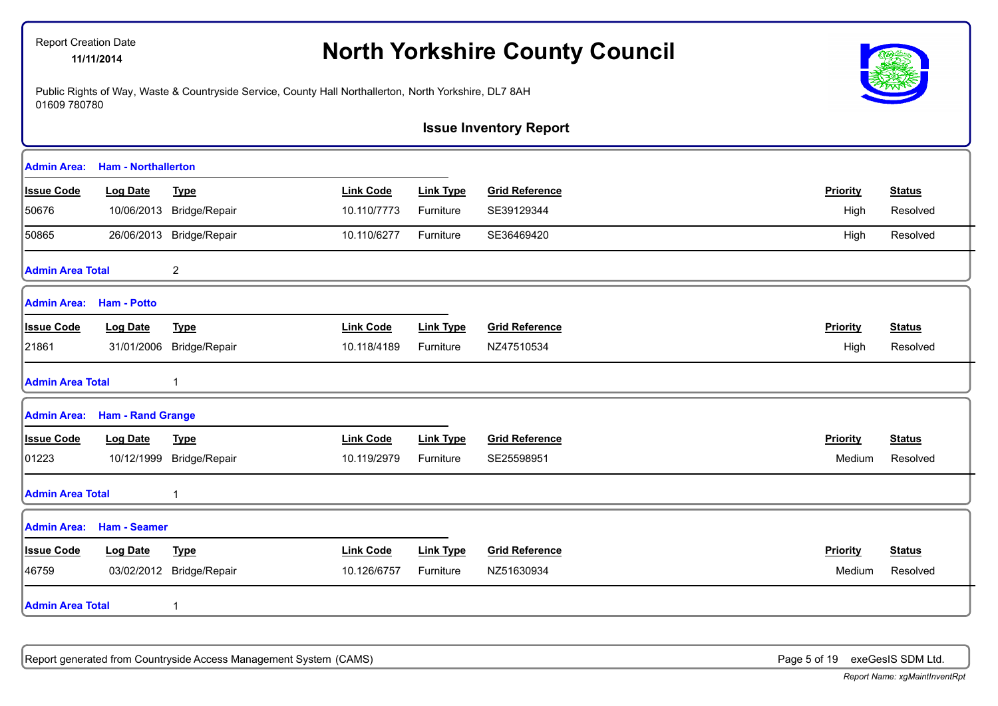# **North Yorkshire County Council** 11/11/2014

Public Rights of Way, Waste & Countryside Service, County Hall Northallerton, North Yorkshire, DL7 8AH 01609 780780



**Issue Inventory Report**

| Admin Area:             | <b>Ham - Northallerton</b> |                          |                  |                  |                       |                 |               |
|-------------------------|----------------------------|--------------------------|------------------|------------------|-----------------------|-----------------|---------------|
| <b>Issue Code</b>       | <b>Log Date</b>            | <b>Type</b>              | <b>Link Code</b> | <b>Link Type</b> | <b>Grid Reference</b> | Priority        | <b>Status</b> |
| 50676                   |                            | 10/06/2013 Bridge/Repair | 10.110/7773      | Furniture        | SE39129344            | High            | Resolved      |
| 50865                   |                            | 26/06/2013 Bridge/Repair | 10.110/6277      | Furniture        | SE36469420            | High            | Resolved      |
| <b>Admin Area Total</b> |                            | $\overline{2}$           |                  |                  |                       |                 |               |
| Admin Area:             | <b>Ham - Potto</b>         |                          |                  |                  |                       |                 |               |
| <b>Issue Code</b>       | <b>Log Date</b>            | <b>Type</b>              | <b>Link Code</b> | <b>Link Type</b> | <b>Grid Reference</b> | Priority        | <b>Status</b> |
| 21861                   | 31/01/2006                 | Bridge/Repair            | 10.118/4189      | Furniture        | NZ47510534            | High            | Resolved      |
| <b>Admin Area Total</b> |                            |                          |                  |                  |                       |                 |               |
| <b>Admin Area:</b>      | <b>Ham - Rand Grange</b>   |                          |                  |                  |                       |                 |               |
| <b>Issue Code</b>       | <b>Log Date</b>            | <b>Type</b>              | <b>Link Code</b> | <b>Link Type</b> | <b>Grid Reference</b> | Priority        | <b>Status</b> |
| 01223                   | 10/12/1999                 | Bridge/Repair            | 10.119/2979      | Furniture        | SE25598951            | Medium          | Resolved      |
| <b>Admin Area Total</b> |                            |                          |                  |                  |                       |                 |               |
| Admin Area:             | <b>Ham - Seamer</b>        |                          |                  |                  |                       |                 |               |
| <b>Issue Code</b>       | <b>Log Date</b>            | <b>Type</b>              | <b>Link Code</b> | <b>Link Type</b> | <b>Grid Reference</b> | <b>Priority</b> | <b>Status</b> |
| 46759                   | 03/02/2012                 | Bridge/Repair            | 10.126/6757      | Furniture        | NZ51630934            | Medium          | Resolved      |
| <b>Admin Area Total</b> |                            |                          |                  |                  |                       |                 |               |

Report generated from Countryside Access Management System (CAMS) **Page 5 of 19** exeGesIS SDM Ltd.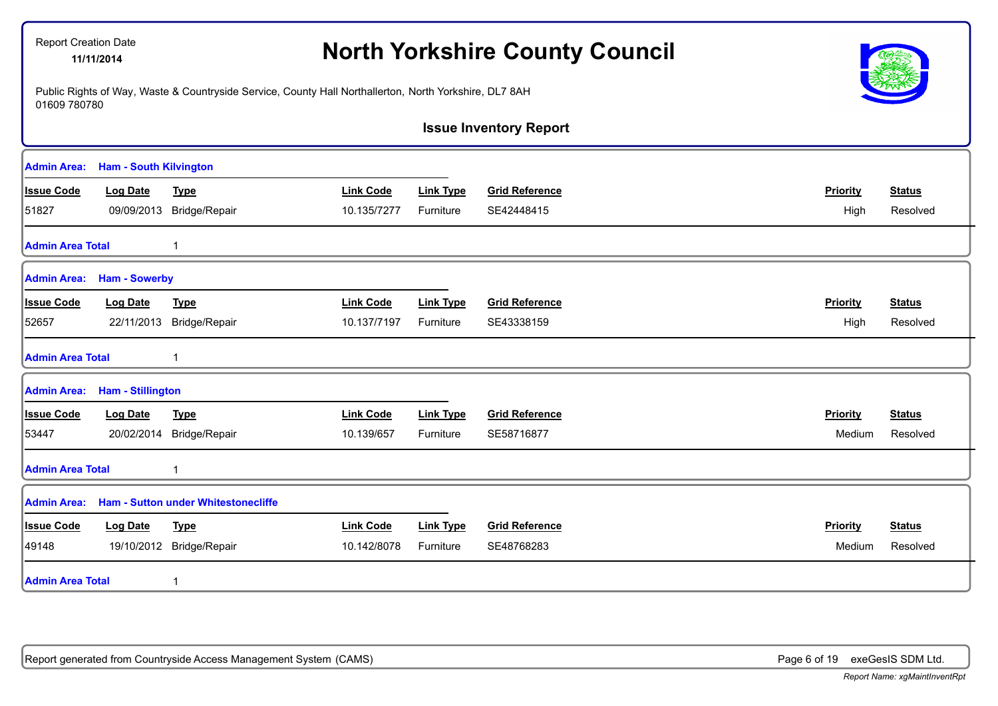| <b>Report Creation Date</b>      | 11/11/2014                    |                                                                                                        |                  |                  | <b>North Yorkshire County Council</b> |                 |               |
|----------------------------------|-------------------------------|--------------------------------------------------------------------------------------------------------|------------------|------------------|---------------------------------------|-----------------|---------------|
| 01609 780780                     |                               | Public Rights of Way, Waste & Countryside Service, County Hall Northallerton, North Yorkshire, DL7 8AH |                  |                  |                                       |                 |               |
|                                  |                               |                                                                                                        |                  |                  | <b>Issue Inventory Report</b>         |                 |               |
| <b>Admin Area:</b>               | <b>Ham - South Kilvington</b> |                                                                                                        |                  |                  |                                       |                 |               |
| <b>Issue Code</b>                | <b>Log Date</b>               | <b>Type</b>                                                                                            | <b>Link Code</b> | <b>Link Type</b> | <b>Grid Reference</b>                 | <b>Priority</b> | <b>Status</b> |
| 51827                            | 09/09/2013                    | Bridge/Repair                                                                                          | 10.135/7277      | Furniture        | SE42448415                            | High            | Resolved      |
| <b>Admin Area Total</b>          |                               | $\mathbf{1}$                                                                                           |                  |                  |                                       |                 |               |
| <b>Admin Area: Ham - Sowerby</b> |                               |                                                                                                        |                  |                  |                                       |                 |               |
| <b>Issue Code</b>                | <b>Log Date</b>               | <b>Type</b>                                                                                            | <b>Link Code</b> | <b>Link Type</b> | <b>Grid Reference</b>                 | <b>Priority</b> | <b>Status</b> |
| 52657                            | 22/11/2013                    | Bridge/Repair                                                                                          | 10.137/7197      | Furniture        | SE43338159                            | High            | Resolved      |
| <b>Admin Area Total</b>          |                               | 1                                                                                                      |                  |                  |                                       |                 |               |
| Admin Area: Ham - Stillington    |                               |                                                                                                        |                  |                  |                                       |                 |               |
| <b>Issue Code</b>                | <b>Log Date</b>               | <b>Type</b>                                                                                            | <b>Link Code</b> | <b>Link Type</b> | <b>Grid Reference</b>                 | Priority        | <b>Status</b> |
| 53447                            | 20/02/2014                    | Bridge/Repair                                                                                          | 10.139/657       | Furniture        | SE58716877                            | Medium          | Resolved      |
| <b>Admin Area Total</b>          |                               | 1                                                                                                      |                  |                  |                                       |                 |               |
|                                  |                               | Admin Area: Ham - Sutton under Whitestonecliffe                                                        |                  |                  |                                       |                 |               |
| <b>Issue Code</b>                | <b>Log Date</b>               | <b>Type</b>                                                                                            | <b>Link Code</b> | <b>Link Type</b> | <b>Grid Reference</b>                 | <b>Priority</b> | <b>Status</b> |
| 49148                            |                               | 19/10/2012 Bridge/Repair                                                                               | 10.142/8078      | Furniture        | SE48768283                            | Medium          | Resolved      |
| <b>Admin Area Total</b>          |                               | $\mathbf{1}$                                                                                           |                  |                  |                                       |                 |               |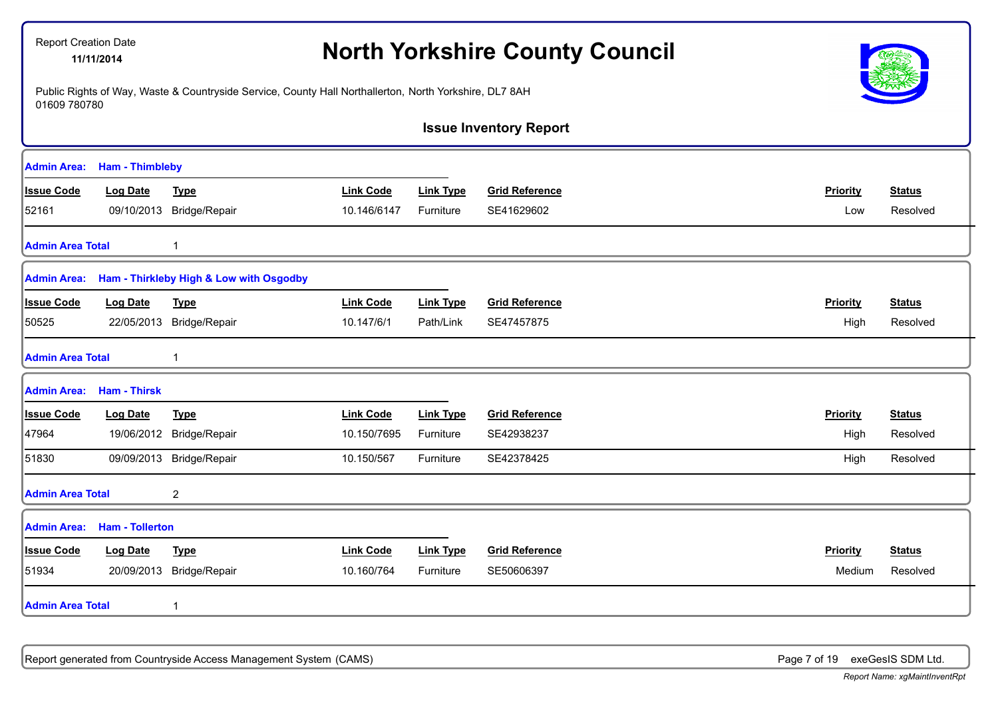|                         | <b>Report Creation Date</b><br>11/11/2014 |                                         |                                                                                                        | <b>North Yorkshire County Council</b> |                               |                 |               |
|-------------------------|-------------------------------------------|-----------------------------------------|--------------------------------------------------------------------------------------------------------|---------------------------------------|-------------------------------|-----------------|---------------|
| 01609 780780            |                                           |                                         | Public Rights of Way, Waste & Countryside Service, County Hall Northallerton, North Yorkshire, DL7 8AH |                                       |                               |                 |               |
|                         |                                           |                                         |                                                                                                        |                                       | <b>Issue Inventory Report</b> |                 |               |
|                         | <b>Admin Area:</b> Ham - Thimbleby        |                                         |                                                                                                        |                                       |                               |                 |               |
| <b>Issue Code</b>       | <b>Log Date</b>                           | <b>Type</b>                             | <b>Link Code</b>                                                                                       | <b>Link Type</b>                      | <b>Grid Reference</b>         | <b>Priority</b> | <b>Status</b> |
| 52161                   |                                           | 09/10/2013 Bridge/Repair                | 10.146/6147                                                                                            | Furniture                             | SE41629602                    | Low             | Resolved      |
| <b>Admin Area Total</b> |                                           | 1                                       |                                                                                                        |                                       |                               |                 |               |
| <b>Admin Area:</b>      |                                           | Ham - Thirkleby High & Low with Osgodby |                                                                                                        |                                       |                               |                 |               |
| <b>Issue Code</b>       | <b>Log Date</b>                           | <b>Type</b>                             | <b>Link Code</b>                                                                                       | <b>Link Type</b>                      | <b>Grid Reference</b>         | Priority        | <b>Status</b> |
| 50525                   | 22/05/2013                                | Bridge/Repair                           | 10.147/6/1                                                                                             | Path/Link                             | SE47457875                    | High            | Resolved      |
| <b>Admin Area Total</b> |                                           | 1                                       |                                                                                                        |                                       |                               |                 |               |
|                         | <b>Admin Area:</b> Ham - Thirsk           |                                         |                                                                                                        |                                       |                               |                 |               |
| <b>Issue Code</b>       | <b>Log Date</b>                           | <b>Type</b>                             | <b>Link Code</b>                                                                                       | <b>Link Type</b>                      | <b>Grid Reference</b>         | Priority        | <b>Status</b> |
| 47964                   |                                           | 19/06/2012 Bridge/Repair                | 10.150/7695                                                                                            | Furniture                             | SE42938237                    | High            | Resolved      |
| 51830                   |                                           | 09/09/2013 Bridge/Repair                | 10.150/567                                                                                             | Furniture                             | SE42378425                    | High            | Resolved      |
| <b>Admin Area Total</b> |                                           | $\overline{c}$                          |                                                                                                        |                                       |                               |                 |               |
| <b>Admin Area:</b>      | <b>Ham - Tollerton</b>                    |                                         |                                                                                                        |                                       |                               |                 |               |
| <b>Issue Code</b>       | <b>Log Date</b>                           | <b>Type</b>                             | <b>Link Code</b>                                                                                       | <b>Link Type</b>                      | <b>Grid Reference</b>         | Priority        | <b>Status</b> |
| 51934                   | 20/09/2013                                | Bridge/Repair                           | 10.160/764                                                                                             | Furniture                             | SE50606397                    | Medium          | Resolved      |
| <b>Admin Area Total</b> |                                           | $\mathbf{1}$                            |                                                                                                        |                                       |                               |                 |               |

Report generated from Countryside Access Management System (CAMS) **Page 7 of 19** exeGesIS SDM Ltd.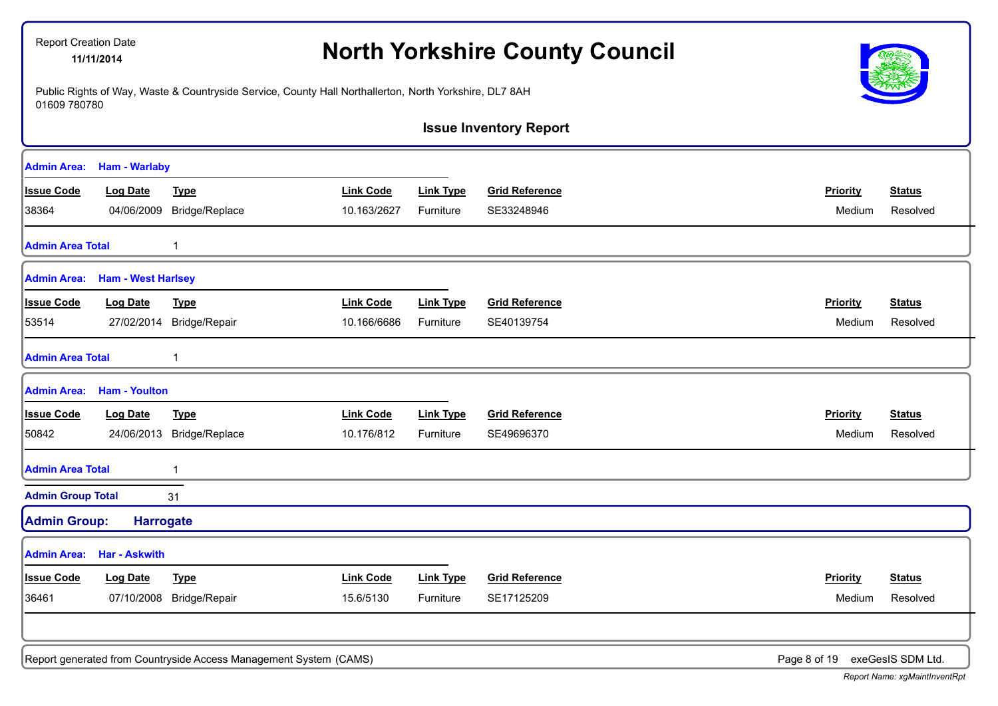| <b>Report Creation Date</b> | 11/11/2014                       | <b>North Yorkshire County Council</b>                             |                                                                                                        |                  |                               |                 |                   |
|-----------------------------|----------------------------------|-------------------------------------------------------------------|--------------------------------------------------------------------------------------------------------|------------------|-------------------------------|-----------------|-------------------|
| 01609 780780                |                                  |                                                                   | Public Rights of Way, Waste & Countryside Service, County Hall Northallerton, North Yorkshire, DL7 8AH |                  |                               |                 |                   |
|                             |                                  |                                                                   |                                                                                                        |                  | <b>Issue Inventory Report</b> |                 |                   |
| <b>Admin Area:</b>          | <b>Ham - Warlaby</b>             |                                                                   |                                                                                                        |                  |                               |                 |                   |
| <b>Issue Code</b>           | <b>Log Date</b>                  | <b>Type</b>                                                       | <b>Link Code</b>                                                                                       | <b>Link Type</b> | <b>Grid Reference</b>         | <b>Priority</b> | <b>Status</b>     |
| 38364                       | 04/06/2009                       | Bridge/Replace                                                    | 10.163/2627                                                                                            | Furniture        | SE33248946                    | Medium          | Resolved          |
| <b>Admin Area Total</b>     |                                  | 1                                                                 |                                                                                                        |                  |                               |                 |                   |
|                             | Admin Area: Ham - West Harlsey   |                                                                   |                                                                                                        |                  |                               |                 |                   |
| <b>Issue Code</b>           | <b>Log Date</b>                  | <b>Type</b>                                                       | <b>Link Code</b>                                                                                       | <b>Link Type</b> | <b>Grid Reference</b>         | Priority        | <b>Status</b>     |
| 53514                       | 27/02/2014                       | Bridge/Repair                                                     | 10.166/6686                                                                                            | Furniture        | SE40139754                    | Medium          | Resolved          |
| <b>Admin Area Total</b>     |                                  |                                                                   |                                                                                                        |                  |                               |                 |                   |
| Admin Area:                 | <b>Ham - Youlton</b>             |                                                                   |                                                                                                        |                  |                               |                 |                   |
| <b>Issue Code</b>           | <b>Log Date</b>                  | <b>Type</b>                                                       | <b>Link Code</b>                                                                                       | <b>Link Type</b> | <b>Grid Reference</b>         | Priority        | <b>Status</b>     |
| 50842                       | 24/06/2013                       | Bridge/Replace                                                    | 10.176/812                                                                                             | Furniture        | SE49696370                    | Medium          | Resolved          |
| <b>Admin Area Total</b>     |                                  | 1                                                                 |                                                                                                        |                  |                               |                 |                   |
| <b>Admin Group Total</b>    |                                  | 31                                                                |                                                                                                        |                  |                               |                 |                   |
| <b>Admin Group:</b>         | <b>Harrogate</b>                 |                                                                   |                                                                                                        |                  |                               |                 |                   |
|                             | <b>Admin Area: Har - Askwith</b> |                                                                   |                                                                                                        |                  |                               |                 |                   |
| <b>Issue Code</b>           | <b>Log Date</b>                  | <b>Type</b>                                                       | <b>Link Code</b>                                                                                       | <b>Link Type</b> | <b>Grid Reference</b>         | <b>Priority</b> | <b>Status</b>     |
| 36461                       | 07/10/2008                       | Bridge/Repair                                                     | 15.6/5130                                                                                              | Furniture        | SE17125209                    | Medium          | Resolved          |
|                             |                                  | Report generated from Countryside Access Management System (CAMS) |                                                                                                        |                  |                               | Page 8 of 19    | exeGesIS SDM Ltd. |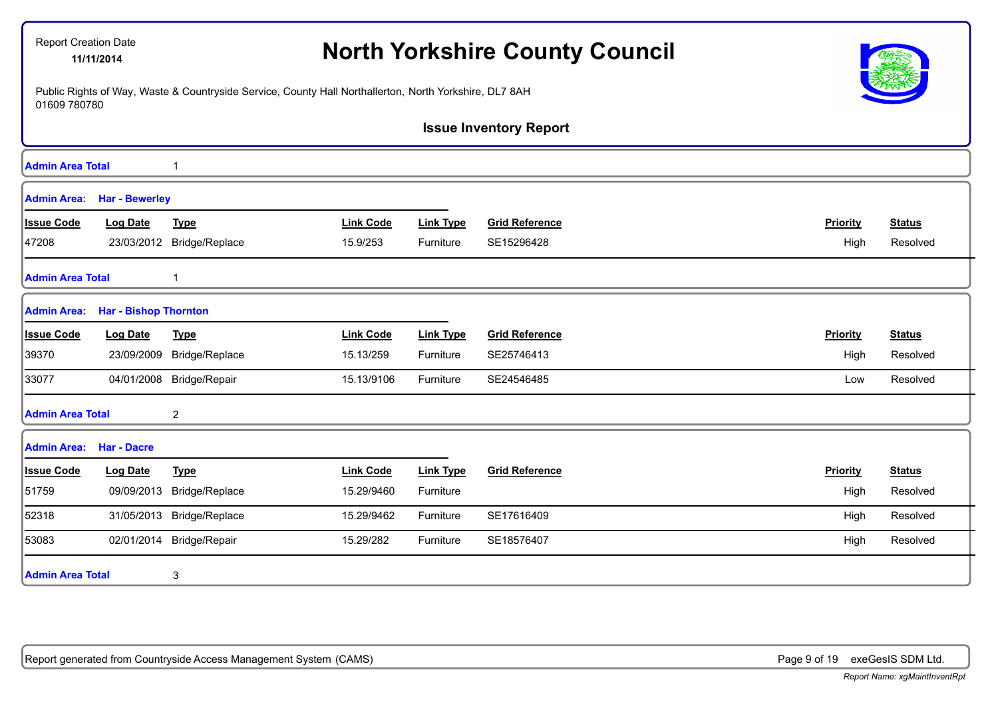| <b>Report Creation Date</b> | 11/11/2014                   |                                                                                                        |                  |                  | <b>North Yorkshire County Council</b> |                 |               |
|-----------------------------|------------------------------|--------------------------------------------------------------------------------------------------------|------------------|------------------|---------------------------------------|-----------------|---------------|
| 01609 780780                |                              | Public Rights of Way, Waste & Countryside Service, County Hall Northallerton, North Yorkshire, DL7 8AH |                  |                  |                                       |                 |               |
|                             |                              |                                                                                                        |                  |                  | <b>Issue Inventory Report</b>         |                 |               |
| <b>Admin Area Total</b>     |                              | 1                                                                                                      |                  |                  |                                       |                 |               |
| <b>Admin Area:</b>          | <b>Har - Bewerley</b>        |                                                                                                        |                  |                  |                                       |                 |               |
| <b>Issue Code</b>           | <b>Log Date</b>              | <b>Type</b>                                                                                            | <b>Link Code</b> | <b>Link Type</b> | <b>Grid Reference</b>                 | <b>Priority</b> | <b>Status</b> |
| 47208                       | 23/03/2012                   | Bridge/Replace                                                                                         | 15.9/253         | Furniture        | SE15296428                            | High            | Resolved      |
| <b>Admin Area Total</b>     |                              | 1                                                                                                      |                  |                  |                                       |                 |               |
| <b>Admin Area:</b>          | <b>Har - Bishop Thornton</b> |                                                                                                        |                  |                  |                                       |                 |               |
| <b>Issue Code</b>           | <b>Log Date</b>              | <b>Type</b>                                                                                            | <b>Link Code</b> | <b>Link Type</b> | <b>Grid Reference</b>                 | Priority        | <b>Status</b> |
| 39370                       | 23/09/2009                   | Bridge/Replace                                                                                         | 15.13/259        | Furniture        | SE25746413                            | High            | Resolved      |
| 33077                       |                              | 04/01/2008 Bridge/Repair                                                                               | 15.13/9106       | Furniture        | SE24546485                            | Low             | Resolved      |
| <b>Admin Area Total</b>     |                              | 2                                                                                                      |                  |                  |                                       |                 |               |
| <b>Admin Area:</b>          | <b>Har - Dacre</b>           |                                                                                                        |                  |                  |                                       |                 |               |
| <b>Issue Code</b>           | <b>Log Date</b>              | <b>Type</b>                                                                                            | <b>Link Code</b> | <b>Link Type</b> | <b>Grid Reference</b>                 | Priority        | <b>Status</b> |
| 51759                       | 09/09/2013                   | Bridge/Replace                                                                                         | 15.29/9460       | Furniture        |                                       | High            | Resolved      |
| 52318                       | 31/05/2013                   | Bridge/Replace                                                                                         | 15.29/9462       | Furniture        | SE17616409                            | High            | Resolved      |
| 53083                       |                              | 02/01/2014 Bridge/Repair                                                                               | 15.29/282        | Furniture        | SE18576407                            | High            | Resolved      |
| <b>Admin Area Total</b>     |                              | 3                                                                                                      |                  |                  |                                       |                 |               |

Report generated from Countryside Access Management System (CAMS) **Page 9 of 19** exeGesIS SDM Ltd.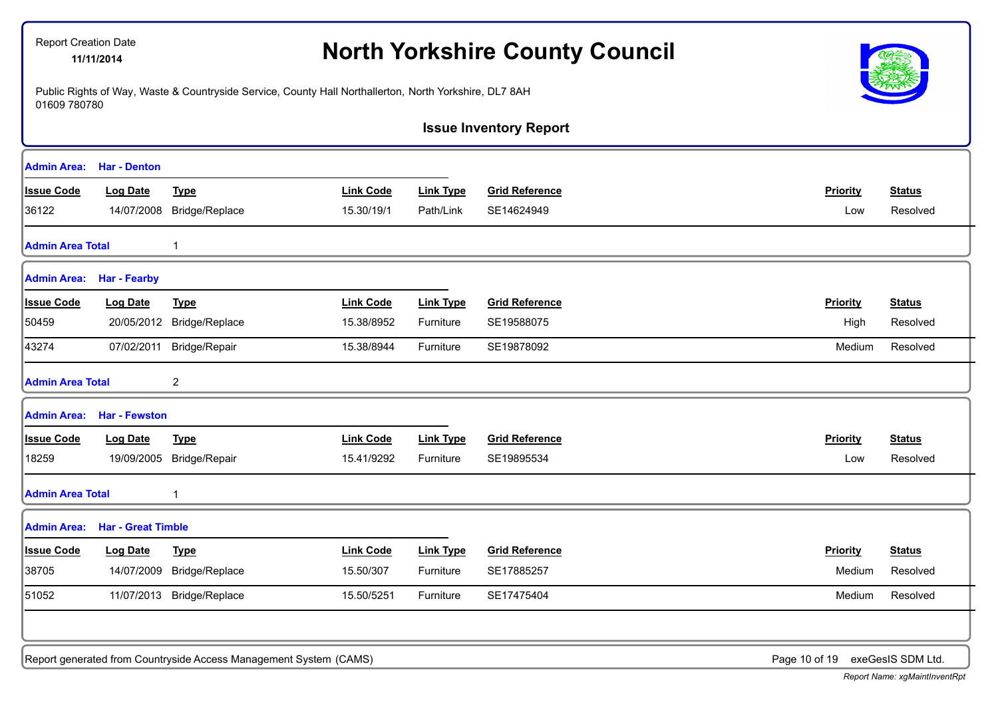|                         |                                       |                           |                  |                  | <b>Issue Inventory Report</b> |                 |               |
|-------------------------|---------------------------------------|---------------------------|------------------|------------------|-------------------------------|-----------------|---------------|
|                         | <b>Admin Area: Har - Denton</b>       |                           |                  |                  |                               |                 |               |
| <b>Issue Code</b>       | <b>Log Date</b>                       | <b>Type</b>               | <b>Link Code</b> | <b>Link Type</b> | <b>Grid Reference</b>         | Priority        | <b>Status</b> |
| 36122                   |                                       | 14/07/2008 Bridge/Replace | 15.30/19/1       | Path/Link        | SE14624949                    | Low             | Resolved      |
| <b>Admin Area Total</b> |                                       |                           |                  |                  |                               |                 |               |
|                         | <b>Admin Area: Har - Fearby</b>       |                           |                  |                  |                               |                 |               |
| Issue Code              | <b>Log Date</b>                       | <b>Type</b>               | <b>Link Code</b> | <b>Link Type</b> | <b>Grid Reference</b>         | Priority        | <u>Status</u> |
| 50459                   |                                       | 20/05/2012 Bridge/Replace | 15.38/8952       | Furniture        | SE19588075                    | High            | Resolved      |
| 43274                   |                                       | 07/02/2011 Bridge/Repair  | 15.38/8944       | Furniture        | SE19878092                    | Medium          | Resolved      |
| Admin Area Total        |                                       | $\overline{2}$            |                  |                  |                               |                 |               |
|                         | <b>Admin Area: Har - Fewston</b>      |                           |                  |                  |                               |                 |               |
| <b>Issue Code</b>       | <b>Log Date</b>                       | <b>Type</b>               | <b>Link Code</b> | <b>Link Type</b> | <b>Grid Reference</b>         | <b>Priority</b> | <b>Status</b> |
| 18259                   |                                       | 19/09/2005 Bridge/Repair  | 15.41/9292       | Furniture        | SE19895534                    | Low             | Resolved      |
| <b>Admin Area Total</b> |                                       | $\mathbf{1}$              |                  |                  |                               |                 |               |
|                         | <b>Admin Area: Har - Great Timble</b> |                           |                  |                  |                               |                 |               |
| <b>Issue Code</b>       | <b>Log Date</b>                       | <b>Type</b>               | <b>Link Code</b> | <b>Link Type</b> | <b>Grid Reference</b>         | Priority        | <b>Status</b> |
| 38705                   |                                       | 14/07/2009 Bridge/Replace | 15.50/307        | Furniture        | SE17885257                    | Medium          | Resolved      |
| 51052                   |                                       | 11/07/2013 Bridge/Replace | 15.50/5251       | Furniture        | SE17475404                    | Medium          | Resolved      |

# **Creation Date**<br>11/11/2014<br>**North Yorkshire County Council**

*Report Name: xgMaintInventRpt*



Report Creation Date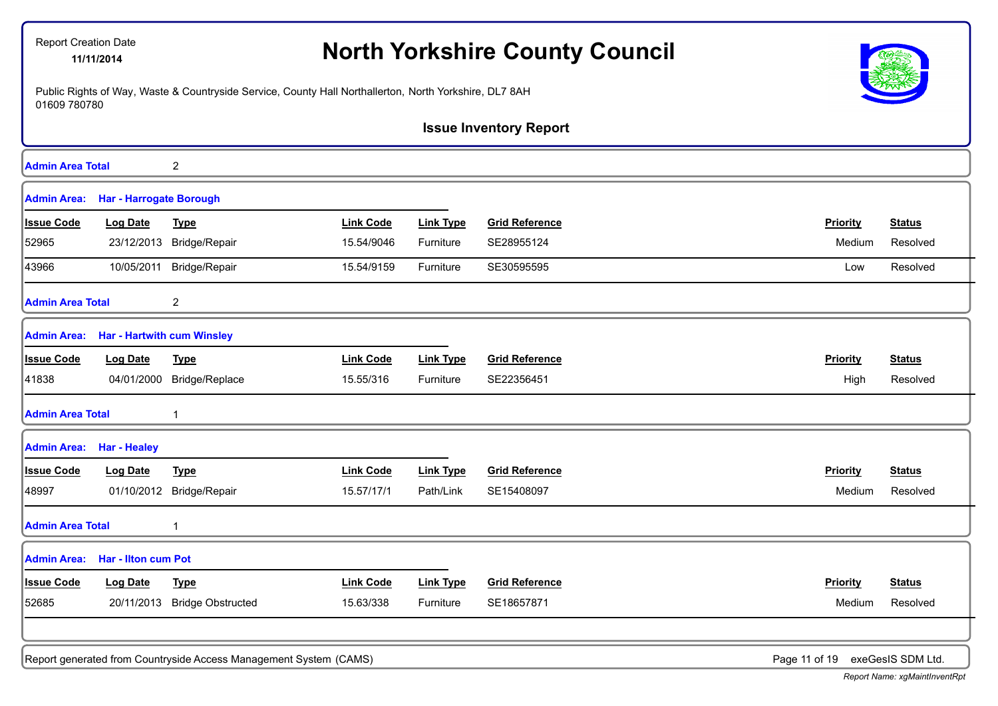|                         | <b>Report Creation Date</b><br>11/11/2014 |                                                                                                        |                  |                  | <b>North Yorkshire County Council</b> |                                 |               |
|-------------------------|-------------------------------------------|--------------------------------------------------------------------------------------------------------|------------------|------------------|---------------------------------------|---------------------------------|---------------|
| 01609 780780            |                                           | Public Rights of Way, Waste & Countryside Service, County Hall Northallerton, North Yorkshire, DL7 8AH |                  |                  |                                       |                                 |               |
|                         |                                           |                                                                                                        |                  |                  | <b>Issue Inventory Report</b>         |                                 |               |
| <b>Admin Area Total</b> |                                           | 2                                                                                                      |                  |                  |                                       |                                 |               |
| <b>Admin Area:</b>      | <b>Har - Harrogate Borough</b>            |                                                                                                        |                  |                  |                                       |                                 |               |
| <b>Issue Code</b>       | <b>Log Date</b>                           | <b>Type</b>                                                                                            | <b>Link Code</b> | <b>Link Type</b> | <b>Grid Reference</b>                 | <b>Priority</b>                 | <b>Status</b> |
| 52965                   | 23/12/2013                                | Bridge/Repair                                                                                          | 15.54/9046       | Furniture        | SE28955124                            | Medium                          | Resolved      |
| 43966                   |                                           | 10/05/2011 Bridge/Repair                                                                               | 15.54/9159       | Furniture        | SE30595595                            | Low                             | Resolved      |
| <b>Admin Area Total</b> |                                           | 2                                                                                                      |                  |                  |                                       |                                 |               |
| <b>Admin Area:</b>      | <b>Har - Hartwith cum Winsley</b>         |                                                                                                        |                  |                  |                                       |                                 |               |
| <b>Issue Code</b>       | <b>Log Date</b>                           | <b>Type</b>                                                                                            | <b>Link Code</b> | <b>Link Type</b> | <b>Grid Reference</b>                 | Priority                        | <b>Status</b> |
| 41838                   | 04/01/2000                                | Bridge/Replace                                                                                         | 15.55/316        | Furniture        | SE22356451                            | High                            | Resolved      |
| <b>Admin Area Total</b> |                                           |                                                                                                        |                  |                  |                                       |                                 |               |
| <b>Admin Area:</b>      | <b>Har - Healey</b>                       |                                                                                                        |                  |                  |                                       |                                 |               |
| <b>Issue Code</b>       | <b>Log Date</b>                           | <b>Type</b>                                                                                            | <b>Link Code</b> | <b>Link Type</b> | <b>Grid Reference</b>                 | Priority                        | <b>Status</b> |
| 48997                   |                                           | 01/10/2012 Bridge/Repair                                                                               | 15.57/17/1       | Path/Link        | SE15408097                            | Medium                          | Resolved      |
| <b>Admin Area Total</b> |                                           |                                                                                                        |                  |                  |                                       |                                 |               |
|                         | Admin Area: Har - Ilton cum Pot           |                                                                                                        |                  |                  |                                       |                                 |               |
| <b>Issue Code</b>       | <b>Log Date</b>                           | <b>Type</b>                                                                                            | <b>Link Code</b> | <b>Link Type</b> | <b>Grid Reference</b>                 | <b>Priority</b>                 | <b>Status</b> |
| 52685                   |                                           | 20/11/2013 Bridge Obstructed                                                                           | 15.63/338        | Furniture        | SE18657871                            | Medium                          | Resolved      |
|                         |                                           | Report generated from Countryside Access Management System (CAMS)                                      |                  |                  |                                       | Page 11 of 19 exeGesIS SDM Ltd. |               |
|                         |                                           |                                                                                                        |                  |                  |                                       |                                 |               |

- I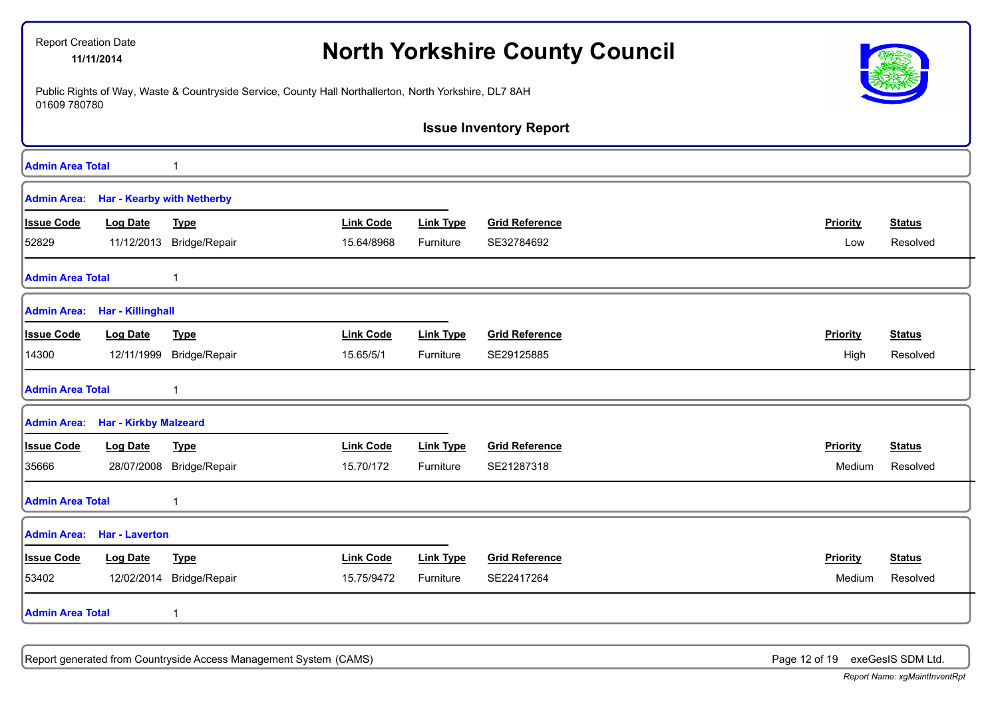| Report Creation Date    | 11/11/2014                               |                          |                                                                                                        | <b>North Yorkshire County Council</b> |                               |                 |               |  |
|-------------------------|------------------------------------------|--------------------------|--------------------------------------------------------------------------------------------------------|---------------------------------------|-------------------------------|-----------------|---------------|--|
| 01609 780780            |                                          |                          | Public Rights of Way, Waste & Countryside Service, County Hall Northallerton, North Yorkshire, DL7 8AH |                                       |                               |                 |               |  |
|                         |                                          |                          |                                                                                                        |                                       | <b>Issue Inventory Report</b> |                 |               |  |
| <b>Admin Area Total</b> |                                          | 1                        |                                                                                                        |                                       |                               |                 |               |  |
| <b>Admin Area:</b>      | <b>Har - Kearby with Netherby</b>        |                          |                                                                                                        |                                       |                               |                 |               |  |
| <b>Issue Code</b>       | Log Date                                 | <b>Type</b>              | <b>Link Code</b>                                                                                       | <b>Link Type</b>                      | <b>Grid Reference</b>         | Priority        | <b>Status</b> |  |
| 52829                   |                                          | 11/12/2013 Bridge/Repair | 15.64/8968                                                                                             | Furniture                             | SE32784692                    | Low             | Resolved      |  |
| <b>Admin Area Total</b> |                                          | 1                        |                                                                                                        |                                       |                               |                 |               |  |
|                         | Admin Area: Har - Killinghall            |                          |                                                                                                        |                                       |                               |                 |               |  |
| <b>Issue Code</b>       | <b>Log Date</b>                          | <b>Type</b>              | <b>Link Code</b>                                                                                       | <b>Link Type</b>                      | <b>Grid Reference</b>         | Priority        | <b>Status</b> |  |
| 14300                   | 12/11/1999                               | Bridge/Repair            | 15.65/5/1                                                                                              | Furniture                             | SE29125885                    | High            | Resolved      |  |
| <b>Admin Area Total</b> |                                          | 1                        |                                                                                                        |                                       |                               |                 |               |  |
|                         | <b>Admin Area:</b> Har - Kirkby Malzeard |                          |                                                                                                        |                                       |                               |                 |               |  |
| <b>Issue Code</b>       | <b>Log Date</b>                          | <b>Type</b>              | <b>Link Code</b>                                                                                       | <b>Link Type</b>                      | <b>Grid Reference</b>         | Priority        | <b>Status</b> |  |
| 35666                   |                                          | 28/07/2008 Bridge/Repair | 15.70/172                                                                                              | Furniture                             | SE21287318                    | Medium          | Resolved      |  |
| <b>Admin Area Total</b> |                                          | 1                        |                                                                                                        |                                       |                               |                 |               |  |
| <b>Admin Area:</b>      | <b>Har - Laverton</b>                    |                          |                                                                                                        |                                       |                               |                 |               |  |
| <b>Issue Code</b>       | <b>Log Date</b>                          | <b>Type</b>              | <b>Link Code</b>                                                                                       | <b>Link Type</b>                      | <b>Grid Reference</b>         | <b>Priority</b> | <b>Status</b> |  |
| 53402                   | 12/02/2014                               | Bridge/Repair            | 15.75/9472                                                                                             | Furniture                             | SE22417264                    | Medium          | Resolved      |  |
| <b>Admin Area Total</b> |                                          | $\mathbf{1}$             |                                                                                                        |                                       |                               |                 |               |  |
|                         |                                          |                          |                                                                                                        |                                       |                               |                 |               |  |

Report generated from Countryside Access Management System (CAMS) **Page 12 of 19** exeGesIS SDM Ltd.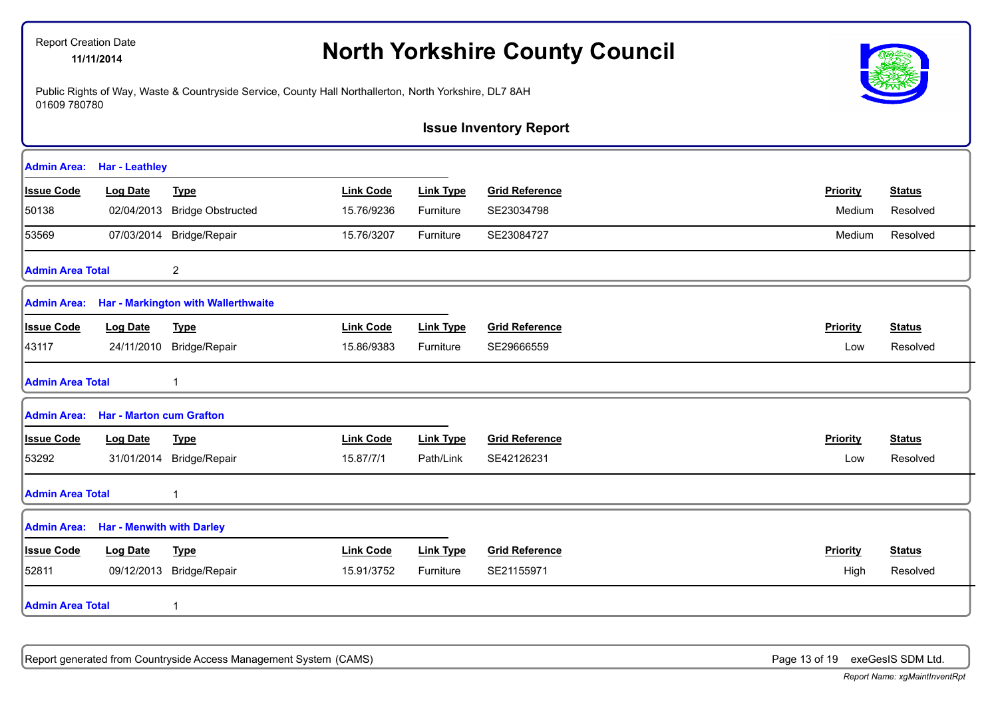# **North Yorkshire County Council** 11/11/2014

Public Rights of Way, Waste & Countryside Service, County Hall Northallerton, North Yorkshire, DL7 8AH 01609 780780



**Issue Inventory Report**

| <b>Admin Area:</b>      | <b>Har - Leathley</b>            |                                     |                  |                  |                       |          |               |
|-------------------------|----------------------------------|-------------------------------------|------------------|------------------|-----------------------|----------|---------------|
| <b>Issue Code</b>       | Log Date                         | <b>Type</b>                         | <b>Link Code</b> | <b>Link Type</b> | <b>Grid Reference</b> | Priority | <b>Status</b> |
| 50138                   | 02/04/2013                       | <b>Bridge Obstructed</b>            | 15.76/9236       | Furniture        | SE23034798            | Medium   | Resolved      |
| 53569                   |                                  | 07/03/2014 Bridge/Repair            | 15.76/3207       | Furniture        | SE23084727            | Medium   | Resolved      |
| <b>Admin Area Total</b> |                                  | $\overline{c}$                      |                  |                  |                       |          |               |
| Admin Area:             |                                  | Har - Markington with Wallerthwaite |                  |                  |                       |          |               |
| <b>Issue Code</b>       | <b>Log Date</b>                  | <b>Type</b>                         | <b>Link Code</b> | <b>Link Type</b> | <b>Grid Reference</b> | Priority | <b>Status</b> |
| 43117                   | 24/11/2010                       | Bridge/Repair                       | 15.86/9383       | Furniture        | SE29666559            | Low      | Resolved      |
| <b>Admin Area Total</b> |                                  |                                     |                  |                  |                       |          |               |
| <b>Admin Area:</b>      | <b>Har - Marton cum Grafton</b>  |                                     |                  |                  |                       |          |               |
| <b>Issue Code</b>       | <b>Log Date</b>                  | <b>Type</b>                         | <b>Link Code</b> | <b>Link Type</b> | <b>Grid Reference</b> | Priority | <b>Status</b> |
| 53292                   | 31/01/2014                       | Bridge/Repair                       | 15.87/7/1        | Path/Link        | SE42126231            | Low      | Resolved      |
| <b>Admin Area Total</b> |                                  |                                     |                  |                  |                       |          |               |
| <b>Admin Area:</b>      | <b>Har - Menwith with Darley</b> |                                     |                  |                  |                       |          |               |
| <b>Issue Code</b>       | <b>Log Date</b>                  | <b>Type</b>                         | <b>Link Code</b> | <b>Link Type</b> | <b>Grid Reference</b> | Priority | <b>Status</b> |
| 52811                   | 09/12/2013                       | Bridge/Repair                       | 15.91/3752       | Furniture        | SE21155971            | High     | Resolved      |
| <b>Admin Area Total</b> |                                  |                                     |                  |                  |                       |          |               |

Report generated from Countryside Access Management System (CAMS) **Page 13 of 19** exeGesIS SDM Ltd.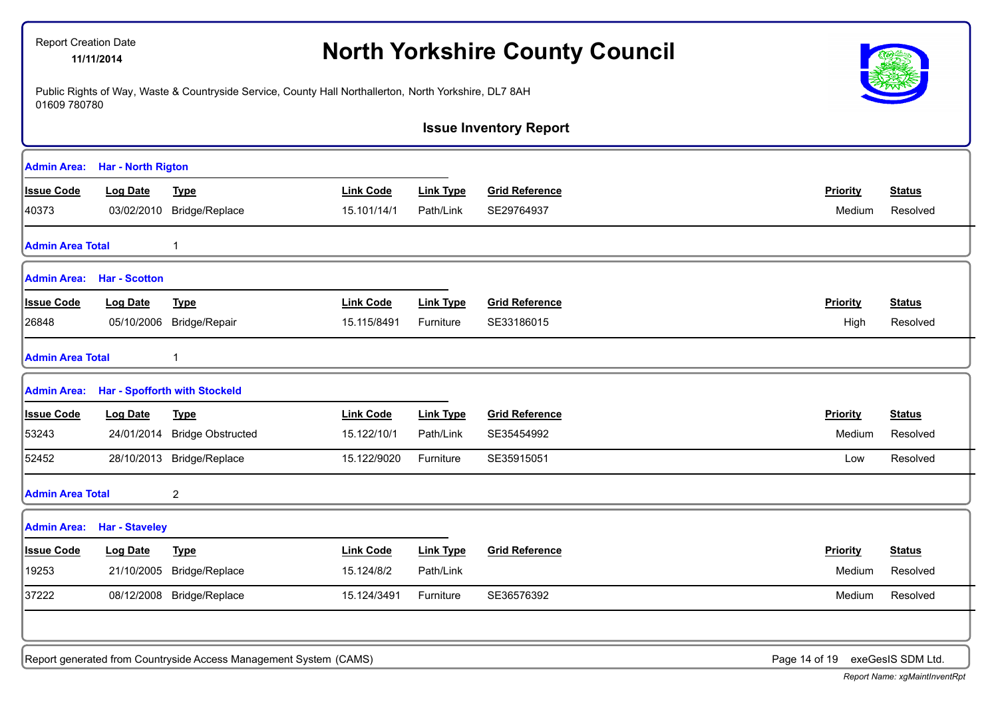|                         | 11/11/2014                |                                                                                                        |                  |                  | <b>North Yorkshire County Council</b> |                 |                   |
|-------------------------|---------------------------|--------------------------------------------------------------------------------------------------------|------------------|------------------|---------------------------------------|-----------------|-------------------|
| 01609 780780            |                           | Public Rights of Way, Waste & Countryside Service, County Hall Northallerton, North Yorkshire, DL7 8AH |                  |                  |                                       |                 |                   |
|                         |                           |                                                                                                        |                  |                  | <b>Issue Inventory Report</b>         |                 |                   |
| <b>Admin Area:</b>      | <b>Har - North Rigton</b> |                                                                                                        |                  |                  |                                       |                 |                   |
| <b>Issue Code</b>       | <b>Log Date</b>           | <b>Type</b>                                                                                            | <b>Link Code</b> | <b>Link Type</b> | <b>Grid Reference</b>                 | <b>Priority</b> | <b>Status</b>     |
| 40373                   | 03/02/2010                | Bridge/Replace                                                                                         | 15.101/14/1      | Path/Link        | SE29764937                            | Medium          | Resolved          |
| <b>Admin Area Total</b> |                           |                                                                                                        |                  |                  |                                       |                 |                   |
| <b>Admin Area:</b>      | <b>Har - Scotton</b>      |                                                                                                        |                  |                  |                                       |                 |                   |
| <b>Issue Code</b>       | <b>Log Date</b>           | <b>Type</b>                                                                                            | <b>Link Code</b> | <b>Link Type</b> | <b>Grid Reference</b>                 | <b>Priority</b> | <b>Status</b>     |
| 26848                   | 05/10/2006                | Bridge/Repair                                                                                          | 15.115/8491      | Furniture        | SE33186015                            | High            | Resolved          |
| <b>Admin Area Total</b> |                           |                                                                                                        |                  |                  |                                       |                 |                   |
| <b>Admin Area:</b>      |                           | <b>Har - Spofforth with Stockeld</b>                                                                   |                  |                  |                                       |                 |                   |
| <b>Issue Code</b>       | <b>Log Date</b>           | <b>Type</b>                                                                                            | <b>Link Code</b> | <b>Link Type</b> | <b>Grid Reference</b>                 | Priority        | <b>Status</b>     |
| 53243                   | 24/01/2014                | <b>Bridge Obstructed</b>                                                                               | 15.122/10/1      | Path/Link        | SE35454992                            | Medium          | Resolved          |
| 52452                   |                           | 28/10/2013 Bridge/Replace                                                                              | 15.122/9020      | Furniture        | SE35915051                            | Low             | Resolved          |
| <b>Admin Area Total</b> |                           | 2                                                                                                      |                  |                  |                                       |                 |                   |
| <b>Admin Area:</b>      | <b>Har - Staveley</b>     |                                                                                                        |                  |                  |                                       |                 |                   |
| <b>Issue Code</b>       | <b>Log Date</b>           | <b>Type</b>                                                                                            | <b>Link Code</b> | <b>Link Type</b> | <b>Grid Reference</b>                 | <b>Priority</b> | <b>Status</b>     |
| 19253                   |                           | 21/10/2005 Bridge/Replace                                                                              | 15.124/8/2       | Path/Link        |                                       |                 | Medium Resolved   |
| 37222                   |                           | 08/12/2008 Bridge/Replace                                                                              | 15.124/3491      | Furniture        | SE36576392                            | Medium          | Resolved          |
|                         |                           |                                                                                                        |                  |                  |                                       |                 |                   |
|                         |                           | Report generated from Countryside Access Management System (CAMS)                                      |                  |                  |                                       | Page 14 of 19   | exeGesIS SDM Ltd. |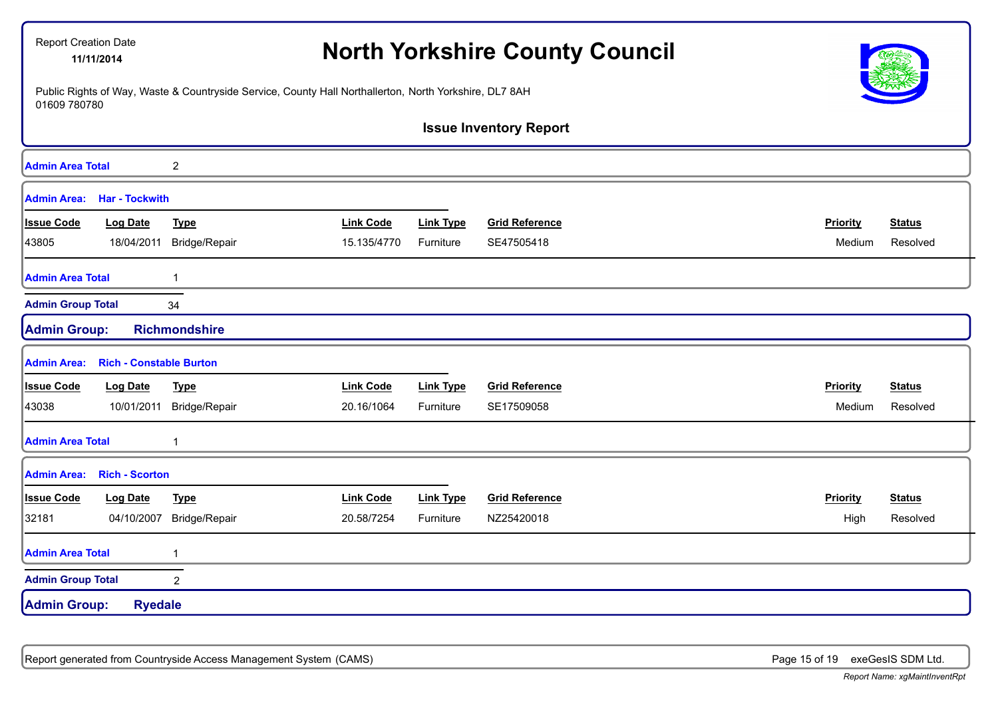| <b>Report Creation Date</b> | 11/11/2014                     | Public Rights of Way, Waste & Countryside Service, County Hall Northallerton, North Yorkshire, DL7 8AH |                  |                  | <b>North Yorkshire County Council</b> |                 |               |
|-----------------------------|--------------------------------|--------------------------------------------------------------------------------------------------------|------------------|------------------|---------------------------------------|-----------------|---------------|
| 01609 780780                |                                |                                                                                                        |                  |                  |                                       |                 |               |
|                             |                                |                                                                                                        |                  |                  | <b>Issue Inventory Report</b>         |                 |               |
| <b>Admin Area Total</b>     |                                | $\overline{c}$                                                                                         |                  |                  |                                       |                 |               |
| <b>Admin Area:</b>          | <b>Har - Tockwith</b>          |                                                                                                        |                  |                  |                                       |                 |               |
| <b>Issue Code</b>           | <b>Log Date</b>                | <b>Type</b>                                                                                            | <b>Link Code</b> | <b>Link Type</b> | <b>Grid Reference</b>                 | Priority        | <b>Status</b> |
| 43805                       | 18/04/2011                     | Bridge/Repair                                                                                          | 15.135/4770      | Furniture        | SE47505418                            | Medium          | Resolved      |
| <b>Admin Area Total</b>     |                                | $\mathbf{1}$                                                                                           |                  |                  |                                       |                 |               |
| <b>Admin Group Total</b>    |                                | 34                                                                                                     |                  |                  |                                       |                 |               |
| <b>Admin Group:</b>         |                                | <b>Richmondshire</b>                                                                                   |                  |                  |                                       |                 |               |
| <b>Admin Area:</b>          | <b>Rich - Constable Burton</b> |                                                                                                        |                  |                  |                                       |                 |               |
| <b>Issue Code</b>           | <b>Log Date</b>                | <b>Type</b>                                                                                            | <b>Link Code</b> | <b>Link Type</b> | <b>Grid Reference</b>                 | <b>Priority</b> | <b>Status</b> |
| 43038                       | 10/01/2011                     | Bridge/Repair                                                                                          | 20.16/1064       | Furniture        | SE17509058                            | Medium          | Resolved      |
| <b>Admin Area Total</b>     |                                | 1                                                                                                      |                  |                  |                                       |                 |               |
| <b>Admin Area:</b>          | <b>Rich - Scorton</b>          |                                                                                                        |                  |                  |                                       |                 |               |
| <b>Issue Code</b>           | <b>Log Date</b>                | <b>Type</b>                                                                                            | <b>Link Code</b> | <b>Link Type</b> | <b>Grid Reference</b>                 | Priority        | <b>Status</b> |
| 32181                       | 04/10/2007                     | Bridge/Repair                                                                                          | 20.58/7254       | Furniture        | NZ25420018                            | High            | Resolved      |
| <b>Admin Area Total</b>     |                                | $\mathbf 1$                                                                                            |                  |                  |                                       |                 |               |
| <b>Admin Group Total</b>    |                                | $\overline{2}$                                                                                         |                  |                  |                                       |                 |               |
| <b>Admin Group:</b>         | <b>Ryedale</b>                 |                                                                                                        |                  |                  |                                       |                 |               |

Report generated from Countryside Access Management System (CAMS) **Page 15 of 19** exeGesIS SDM Ltd.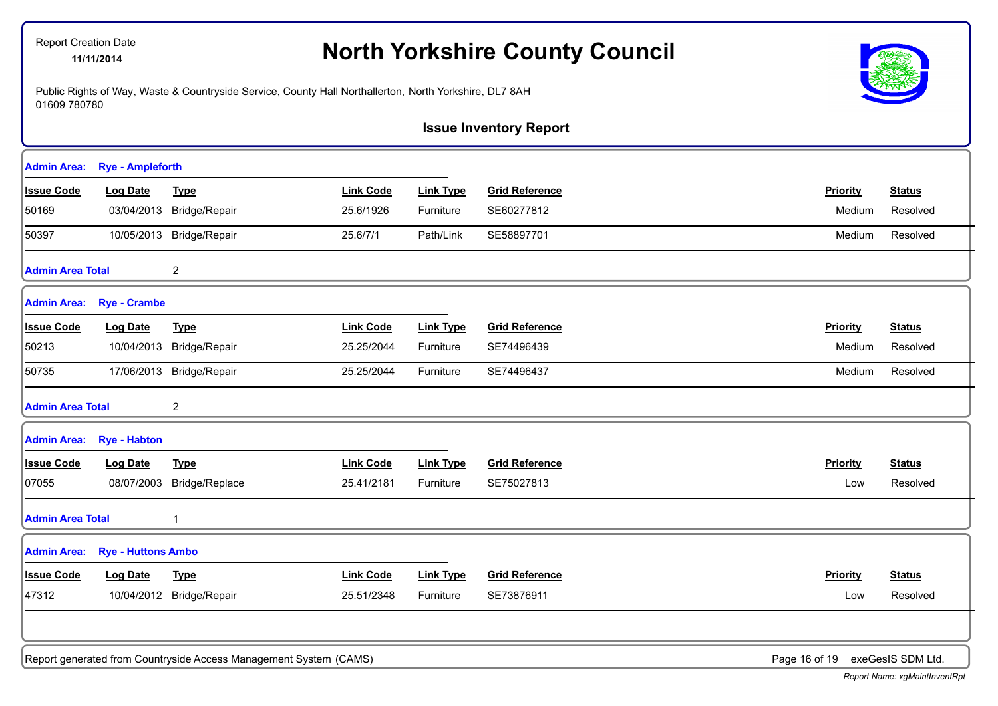# **North Yorkshire County Council** 11/11/2014

Public Rights of Way, Waste & Countryside Service, County Hall Northallerton, North Yorkshire, DL7 8AH 01609 780780



**Issue Inventory Report**

| <b>Admin Area:</b>      | <b>Rye - Ampleforth</b>   |                                                                   |                  |                  |                       |                                 |               |
|-------------------------|---------------------------|-------------------------------------------------------------------|------------------|------------------|-----------------------|---------------------------------|---------------|
| <b>Issue Code</b>       | <b>Log Date</b>           | <b>Type</b>                                                       | <b>Link Code</b> | <b>Link Type</b> | <b>Grid Reference</b> | Priority                        | <b>Status</b> |
| 50169                   |                           | 03/04/2013 Bridge/Repair                                          | 25.6/1926        | Furniture        | SE60277812            | Medium                          | Resolved      |
| 50397                   |                           | 10/05/2013 Bridge/Repair                                          | 25.6/7/1         | Path/Link        | SE58897701            | Medium                          | Resolved      |
| <b>Admin Area Total</b> |                           | $\overline{2}$                                                    |                  |                  |                       |                                 |               |
| <b>Admin Area:</b>      | <b>Rye - Crambe</b>       |                                                                   |                  |                  |                       |                                 |               |
| <b>Issue Code</b>       | <b>Log Date</b>           | <b>Type</b>                                                       | <b>Link Code</b> | <b>Link Type</b> | <b>Grid Reference</b> | Priority                        | <b>Status</b> |
| 50213                   |                           | 10/04/2013 Bridge/Repair                                          | 25.25/2044       | Furniture        | SE74496439            | Medium                          | Resolved      |
| 50735                   |                           | 17/06/2013 Bridge/Repair                                          | 25.25/2044       | Furniture        | SE74496437            | Medium                          | Resolved      |
| <b>Admin Area Total</b> |                           | 2                                                                 |                  |                  |                       |                                 |               |
| <b>Admin Area:</b>      | <b>Rye - Habton</b>       |                                                                   |                  |                  |                       |                                 |               |
| <b>Issue Code</b>       | <b>Log Date</b>           | <b>Type</b>                                                       | <b>Link Code</b> | <b>Link Type</b> | <b>Grid Reference</b> | Priority                        | <b>Status</b> |
| 07055                   | 08/07/2003                | Bridge/Replace                                                    | 25.41/2181       | Furniture        | SE75027813            | Low                             | Resolved      |
| <b>Admin Area Total</b> |                           | $\overline{1}$                                                    |                  |                  |                       |                                 |               |
| <b>Admin Area:</b>      | <b>Rye - Huttons Ambo</b> |                                                                   |                  |                  |                       |                                 |               |
| <b>Issue Code</b>       | <b>Log Date</b>           | <b>Type</b>                                                       | <b>Link Code</b> | <b>Link Type</b> | <b>Grid Reference</b> | <b>Priority</b>                 | <b>Status</b> |
| 47312                   |                           | 10/04/2012 Bridge/Repair                                          | 25.51/2348       | Furniture        | SE73876911            | Low                             | Resolved      |
|                         |                           |                                                                   |                  |                  |                       |                                 |               |
|                         |                           | Report generated from Countryside Access Management System (CAMS) |                  |                  |                       | Page 16 of 19 exeGesIS SDM Ltd. |               |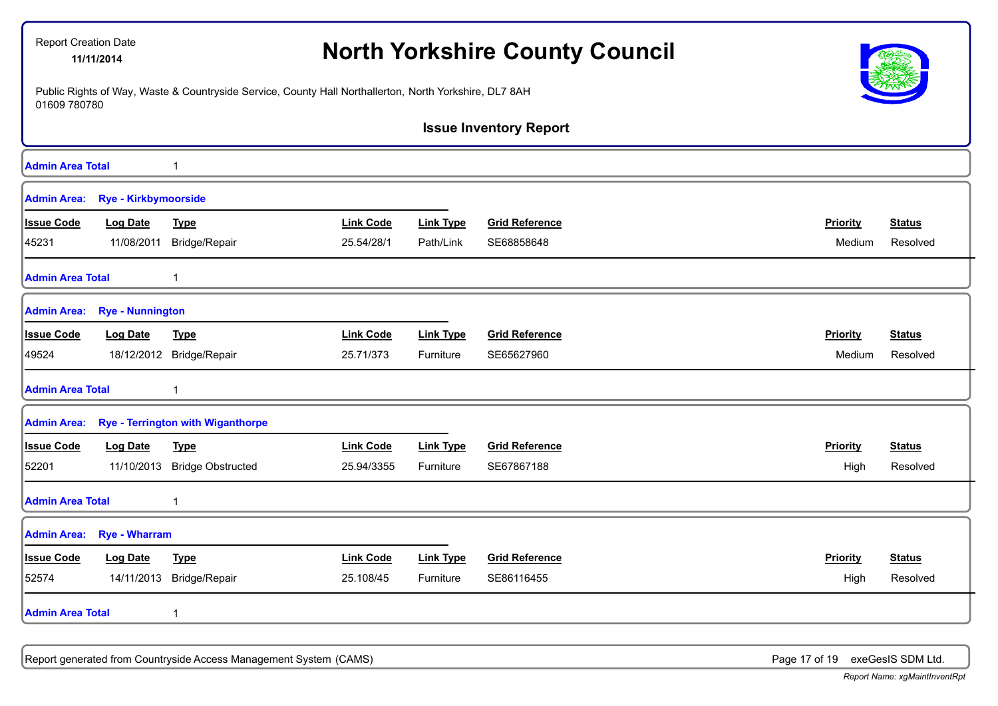|                         | Report Creation Date<br>11/11/2014 |                                                                                                        | <b>North Yorkshire County Council</b> |                  |                               |                 |               |
|-------------------------|------------------------------------|--------------------------------------------------------------------------------------------------------|---------------------------------------|------------------|-------------------------------|-----------------|---------------|
| 01609 780780            |                                    | Public Rights of Way, Waste & Countryside Service, County Hall Northallerton, North Yorkshire, DL7 8AH |                                       |                  |                               |                 |               |
|                         |                                    |                                                                                                        |                                       |                  | <b>Issue Inventory Report</b> |                 |               |
| <b>Admin Area Total</b> |                                    | 1                                                                                                      |                                       |                  |                               |                 |               |
|                         | Admin Area: Rye - Kirkbymoorside   |                                                                                                        |                                       |                  |                               |                 |               |
| <b>Issue Code</b>       | <b>Log Date</b>                    | <b>Type</b>                                                                                            | <b>Link Code</b>                      | <b>Link Type</b> | <b>Grid Reference</b>         | Priority        | <b>Status</b> |
| 45231                   | 11/08/2011                         | Bridge/Repair                                                                                          | 25.54/28/1                            | Path/Link        | SE68858648                    | Medium          | Resolved      |
| <b>Admin Area Total</b> |                                    | $\mathbf{1}$                                                                                           |                                       |                  |                               |                 |               |
|                         | Admin Area: Rye - Nunnington       |                                                                                                        |                                       |                  |                               |                 |               |
| <b>Issue Code</b>       | <b>Log Date</b>                    | <b>Type</b>                                                                                            | <b>Link Code</b>                      | <b>Link Type</b> | <b>Grid Reference</b>         | Priority        | <b>Status</b> |
| 49524                   |                                    | 18/12/2012 Bridge/Repair                                                                               | 25.71/373                             | Furniture        | SE65627960                    | Medium          | Resolved      |
| <b>Admin Area Total</b> |                                    | $\mathbf{1}$                                                                                           |                                       |                  |                               |                 |               |
| <b>Admin Area:</b>      |                                    | <b>Rye - Terrington with Wiganthorpe</b>                                                               |                                       |                  |                               |                 |               |
| <b>Issue Code</b>       | <b>Log Date</b>                    | <b>Type</b>                                                                                            | <b>Link Code</b>                      | <b>Link Type</b> | <b>Grid Reference</b>         | Priority        | <b>Status</b> |
| 52201                   |                                    | 11/10/2013 Bridge Obstructed                                                                           | 25.94/3355                            | Furniture        | SE67867188                    | High            | Resolved      |
| <b>Admin Area Total</b> |                                    | $\mathbf{1}$                                                                                           |                                       |                  |                               |                 |               |
| <b>Admin Area:</b>      | <b>Rye - Wharram</b>               |                                                                                                        |                                       |                  |                               |                 |               |
| <b>Issue Code</b>       | <b>Log Date</b>                    | <b>Type</b>                                                                                            | <b>Link Code</b>                      | <b>Link Type</b> | <b>Grid Reference</b>         | <b>Priority</b> | <b>Status</b> |
| 52574                   |                                    | 14/11/2013 Bridge/Repair                                                                               | 25.108/45                             | Furniture        | SE86116455                    | High            | Resolved      |
| <b>Admin Area Total</b> |                                    | 1                                                                                                      |                                       |                  |                               |                 |               |
|                         |                                    |                                                                                                        |                                       |                  |                               |                 |               |

Report generated from Countryside Access Management System (CAMS) **Page 17 of 19** exeGesIS SDM Ltd.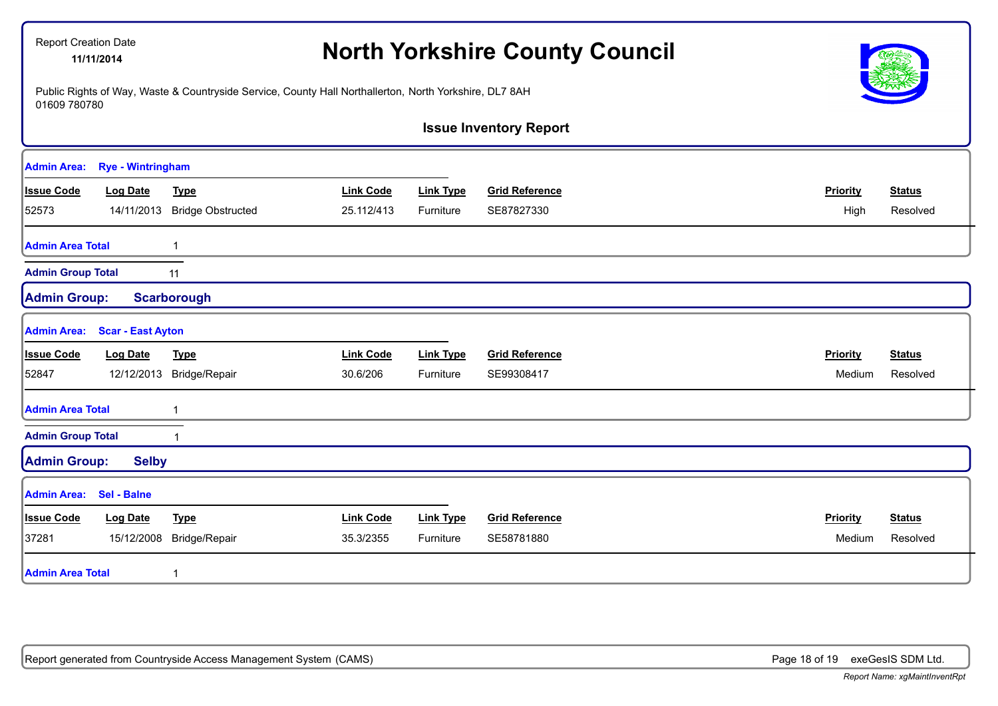| Report Creation Date<br>11/11/2014 |                          |                                                                                                        |                  |                  | <b>North Yorkshire County Council</b> |                 |               |
|------------------------------------|--------------------------|--------------------------------------------------------------------------------------------------------|------------------|------------------|---------------------------------------|-----------------|---------------|
| 01609 780780                       |                          | Public Rights of Way, Waste & Countryside Service, County Hall Northallerton, North Yorkshire, DL7 8AH |                  |                  |                                       |                 |               |
|                                    |                          |                                                                                                        |                  |                  | <b>Issue Inventory Report</b>         |                 |               |
| <b>Admin Area:</b>                 | <b>Rye - Wintringham</b> |                                                                                                        |                  |                  |                                       |                 |               |
| <b>Issue Code</b>                  | <b>Log Date</b>          | <b>Type</b>                                                                                            | <b>Link Code</b> | <b>Link Type</b> | <b>Grid Reference</b>                 | <b>Priority</b> | <b>Status</b> |
| 52573                              |                          | 14/11/2013 Bridge Obstructed                                                                           | 25.112/413       | Furniture        | SE87827330                            | High            | Resolved      |
| <b>Admin Area Total</b>            |                          | 1                                                                                                      |                  |                  |                                       |                 |               |
| <b>Admin Group Total</b>           |                          | 11                                                                                                     |                  |                  |                                       |                 |               |
| <b>Admin Group:</b>                |                          | <b>Scarborough</b>                                                                                     |                  |                  |                                       |                 |               |
| <b>Admin Area:</b>                 | <b>Scar - East Ayton</b> |                                                                                                        |                  |                  |                                       |                 |               |
| <b>Issue Code</b>                  | <b>Log Date</b>          | <b>Type</b>                                                                                            | <b>Link Code</b> | <b>Link Type</b> | <b>Grid Reference</b>                 | Priority        | <b>Status</b> |
| 52847                              |                          | 12/12/2013 Bridge/Repair                                                                               | 30.6/206         | Furniture        | SE99308417                            | Medium          | Resolved      |
| <b>Admin Area Total</b>            |                          | $\mathbf 1$                                                                                            |                  |                  |                                       |                 |               |
| <b>Admin Group Total</b>           |                          | $\mathbf{1}$                                                                                           |                  |                  |                                       |                 |               |
| <b>Admin Group:</b>                | <b>Selby</b>             |                                                                                                        |                  |                  |                                       |                 |               |
| <b>Admin Area:</b>                 | Sel - Balne              |                                                                                                        |                  |                  |                                       |                 |               |
| <b>Issue Code</b>                  | <b>Log Date</b>          | <b>Type</b>                                                                                            | <b>Link Code</b> | <b>Link Type</b> | <b>Grid Reference</b>                 | Priority        | <b>Status</b> |
| 37281                              | 15/12/2008               | Bridge/Repair                                                                                          | 35.3/2355        | Furniture        | SE58781880                            | Medium          | Resolved      |
| <b>Admin Area Total</b>            |                          | $\mathbf 1$                                                                                            |                  |                  |                                       |                 |               |